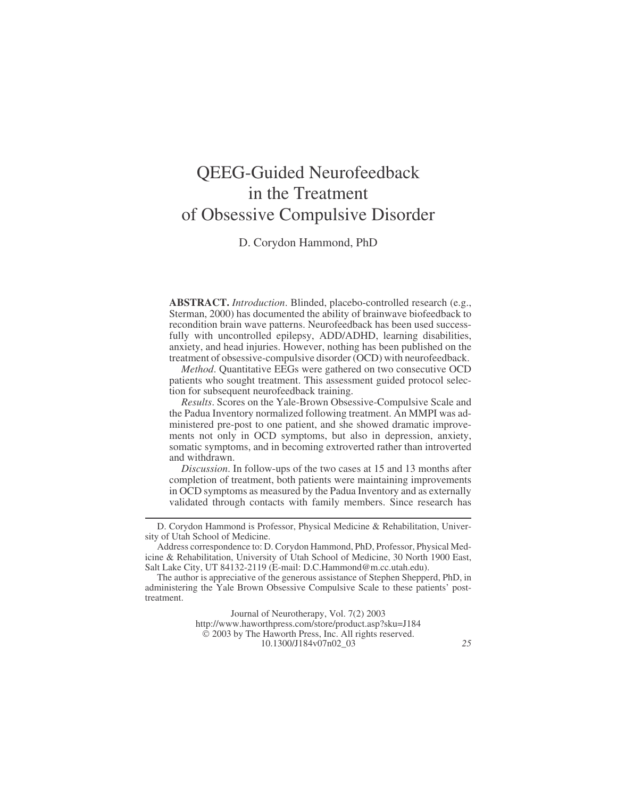# QEEG-Guided Neurofeedback in the Treatment of Obsessive Compulsive Disorder

D. Corydon Hammond, PhD

**ABSTRACT.** *Introduction*. Blinded, placebo-controlled research (e.g., Sterman, 2000) has documented the ability of brainwave biofeedback to recondition brain wave patterns. Neurofeedback has been used successfully with uncontrolled epilepsy, ADD/ADHD, learning disabilities, anxiety, and head injuries. However, nothing has been published on the treatment of obsessive-compulsive disorder (OCD) with neurofeedback.

*Method*. Quantitative EEGs were gathered on two consecutive OCD patients who sought treatment. This assessment guided protocol selection for subsequent neurofeedback training.

*Results*. Scores on the Yale-Brown Obsessive-Compulsive Scale and the Padua Inventory normalized following treatment. An MMPI was administered pre-post to one patient, and she showed dramatic improvements not only in OCD symptoms, but also in depression, anxiety, somatic symptoms, and in becoming extroverted rather than introverted and withdrawn.

*Discussion*. In follow-ups of the two cases at 15 and 13 months after completion of treatment, both patients were maintaining improvements in OCD symptoms as measured by the Padua Inventory and as externally validated through contacts with family members. Since research has

Journal of Neurotherapy, Vol. 7(2) 2003 <http://www.haworthpress.com/store/product.asp?sku=J184>  $\overline{Q}$  2003 by The Haworth Press, Inc. All rights reserved. 10.1300/J184v07n02\_03 *25*

D. Corydon Hammond is Professor, Physical Medicine & Rehabilitation, University of Utah School of Medicine.

Address correspondence to: D. Corydon Hammond, PhD, Professor, Physical Medicine & Rehabilitation, University of Utah School of Medicine, 30 North 1900 East, Salt Lake City, UT 84132-2119 (E-mail: D.C.Hammond@m.cc.utah.edu).

The author is appreciative of the generous assistance of Stephen Shepperd, PhD, in administering the Yale Brown Obsessive Compulsive Scale to these patients' posttreatment.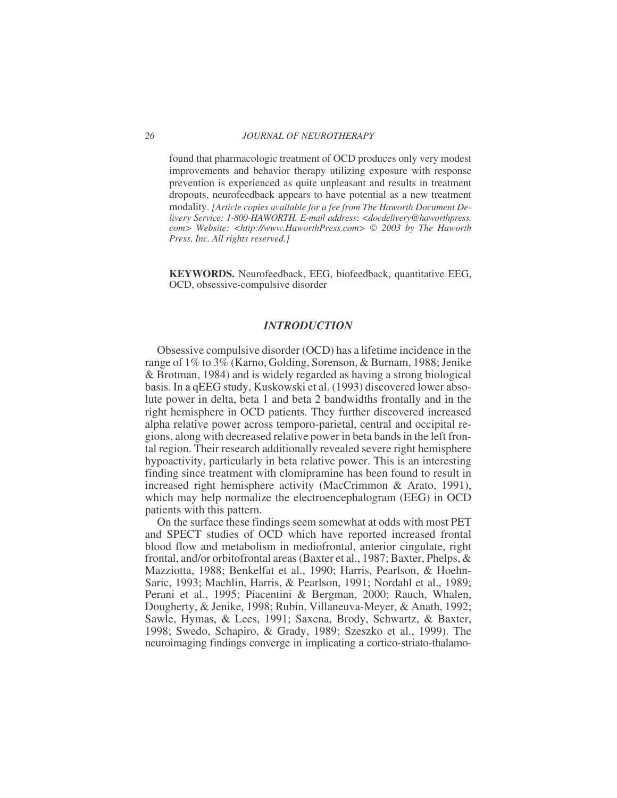found that pharmacologic treatment of OCD produces only very modest improvements and behavior therapy utilizing exposure with response prevention is experienced as quite unpleasant and results in treatment dropouts, neurofeedback appears to have potential as a new treatment modality. *[Article copies available for a fee from The Haworth Document Delivery Service: 1-800-HAWORTH. E-mail address: <docdelivery@haworthpress. com> Website: <[http://www.HaworthPress.com>](http://www.HaworthPress.com) 2003 by The Haworth Press, Inc. All rights reserved.]*

**KEYWORDS.** Neurofeedback, EEG, biofeedback, quantitative EEG, OCD, obsessive-compulsive disorder

# *INTRODUCTION*

Obsessive compulsive disorder (OCD) has a lifetime incidence in the range of 1% to 3% (Karno, Golding, Sorenson, & Burnam, 1988; Jenike & Brotman, 1984) and is widely regarded as having a strong biological basis. In a qEEG study, Kuskowski et al. (1993) discovered lower absolute power in delta, beta 1 and beta 2 bandwidths frontally and in the right hemisphere in OCD patients. They further discovered increased alpha relative power across temporo-parietal, central and occipital regions, along with decreased relative power in beta bands in the left frontal region. Their research additionally revealed severe right hemisphere hypoactivity, particularly in beta relative power. This is an interesting finding since treatment with clomipramine has been found to result in increased right hemisphere activity (MacCrimmon & Arato, 1991), which may help normalize the electroencephalogram (EEG) in OCD patients with this pattern.

On the surface these findings seem somewhat at odds with most PET and SPECT studies of OCD which have reported increased frontal blood flow and metabolism in mediofrontal, anterior cingulate, right frontal, and/or orbitofrontal areas (Baxter et al., 1987; Baxter, Phelps, & Mazziotta, 1988; Benkelfat et al., 1990; Harris, Pearlson, & Hoehn-Saric, 1993; Machlin, Harris, & Pearlson, 1991; Nordahl et al., 1989; Perani et al., 1995; Piacentini & Bergman, 2000; Rauch, Whalen, Dougherty, & Jenike, 1998; Rubin, Villaneuva-Meyer, & Anath, 1992; Sawle, Hymas, & Lees, 1991; Saxena, Brody, Schwartz, & Baxter, 1998; Swedo, Schapiro, & Grady, 1989; Szeszko et al., 1999). The neuroimaging findings converge in implicating a cortico-striato-thalamo-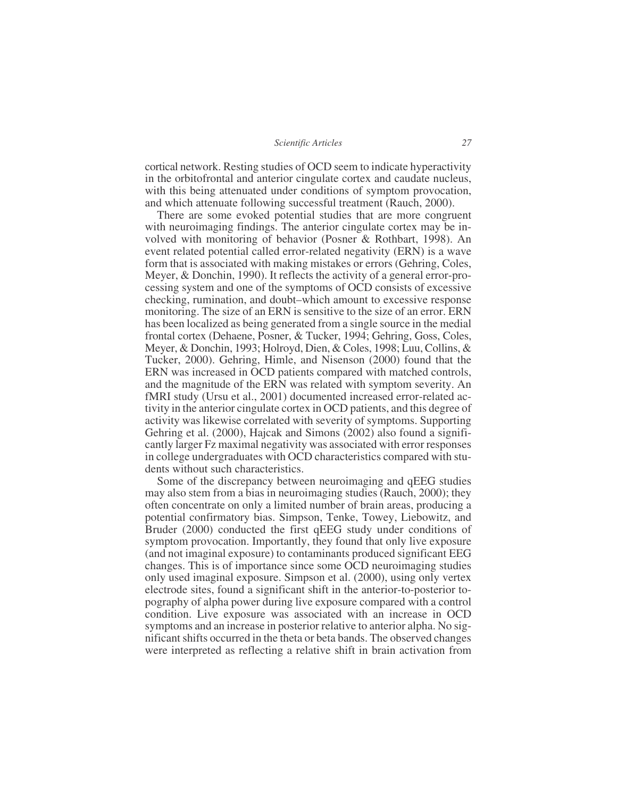cortical network. Resting studies of OCD seem to indicate hyperactivity in the orbitofrontal and anterior cingulate cortex and caudate nucleus, with this being attenuated under conditions of symptom provocation, and which attenuate following successful treatment (Rauch, 2000).

There are some evoked potential studies that are more congruent with neuroimaging findings. The anterior cingulate cortex may be involved with monitoring of behavior (Posner & Rothbart, 1998). An event related potential called error-related negativity (ERN) is a wave form that is associated with making mistakes or errors (Gehring, Coles, Meyer, & Donchin, 1990). It reflects the activity of a general error-processing system and one of the symptoms of OCD consists of excessive checking, rumination, and doubt–which amount to excessive response monitoring. The size of an ERN is sensitive to the size of an error. ERN has been localized as being generated from a single source in the medial frontal cortex (Dehaene, Posner, & Tucker, 1994; Gehring, Goss, Coles, Meyer, & Donchin, 1993; Holroyd, Dien, & Coles, 1998; Luu, Collins, & Tucker, 2000). Gehring, Himle, and Nisenson (2000) found that the ERN was increased in OCD patients compared with matched controls, and the magnitude of the ERN was related with symptom severity. An fMRI study (Ursu et al., 2001) documented increased error-related activity in the anterior cingulate cortex in OCD patients, and this degree of activity was likewise correlated with severity of symptoms. Supporting Gehring et al. (2000), Hajcak and Simons (2002) also found a significantly larger Fz maximal negativity was associated with error responses in college undergraduates with OCD characteristics compared with students without such characteristics.

Some of the discrepancy between neuroimaging and qEEG studies may also stem from a bias in neuroimaging studies (Rauch, 2000); they often concentrate on only a limited number of brain areas, producing a potential confirmatory bias. Simpson, Tenke, Towey, Liebowitz, and Bruder (2000) conducted the first qEEG study under conditions of symptom provocation. Importantly, they found that only live exposure (and not imaginal exposure) to contaminants produced significant EEG changes. This is of importance since some OCD neuroimaging studies only used imaginal exposure. Simpson et al. (2000), using only vertex electrode sites, found a significant shift in the anterior-to-posterior topography of alpha power during live exposure compared with a control condition. Live exposure was associated with an increase in OCD symptoms and an increase in posterior relative to anterior alpha. No significant shifts occurred in the theta or beta bands. The observed changes were interpreted as reflecting a relative shift in brain activation from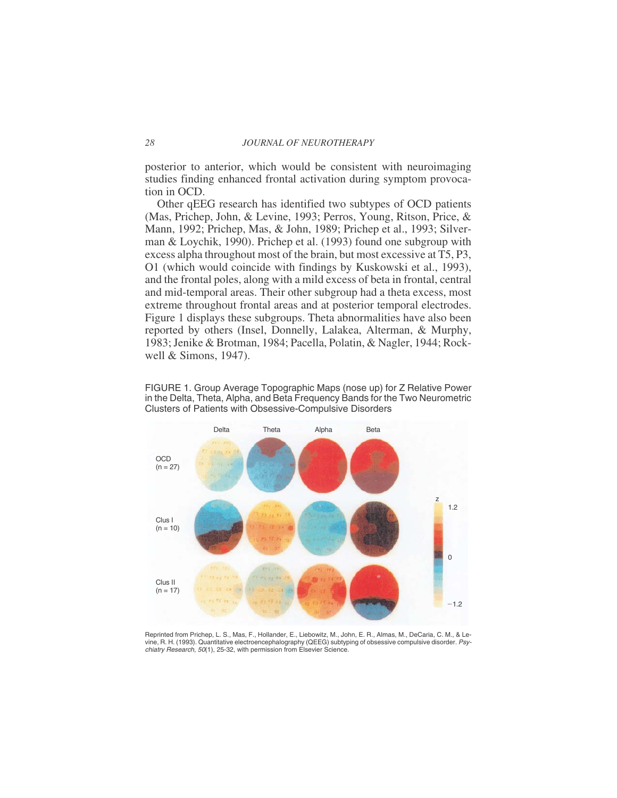posterior to anterior, which would be consistent with neuroimaging studies finding enhanced frontal activation during symptom provocation in OCD.

Other qEEG research has identified two subtypes of OCD patients (Mas, Prichep, John, & Levine, 1993; Perros, Young, Ritson, Price, & Mann, 1992; Prichep, Mas, & John, 1989; Prichep et al., 1993; Silverman & Loychik, 1990). Prichep et al. (1993) found one subgroup with excess alpha throughout most of the brain, but most excessive at T5, P3, O1 (which would coincide with findings by Kuskowski et al., 1993), and the frontal poles, along with a mild excess of beta in frontal, central and mid-temporal areas. Their other subgroup had a theta excess, most extreme throughout frontal areas and at posterior temporal electrodes. Figure 1 displays these subgroups. Theta abnormalities have also been reported by others (Insel, Donnelly, Lalakea, Alterman, & Murphy, 1983; Jenike & Brotman, 1984; Pacella, Polatin, & Nagler, 1944; Rockwell & Simons, 1947).

FIGURE 1. Group Average Topographic Maps (nose up) for Z Relative Power in the Delta, Theta, Alpha, and Beta Frequency Bands for the Two Neurometric Clusters of Patients with Obsessive-Compulsive Disorders



Reprinted from Prichep, L. S., Mas, F., Hollander, E., Liebowitz, M., John, E. R., Almas, M., DeCaria, C. M., & Levine, R. H. (1993). Quantitative electroencephalography (QEEG) subtyping of obsessive compulsive disorder. Psychiatry Research, 50(1), 25-32, with permission from Elsevier Science.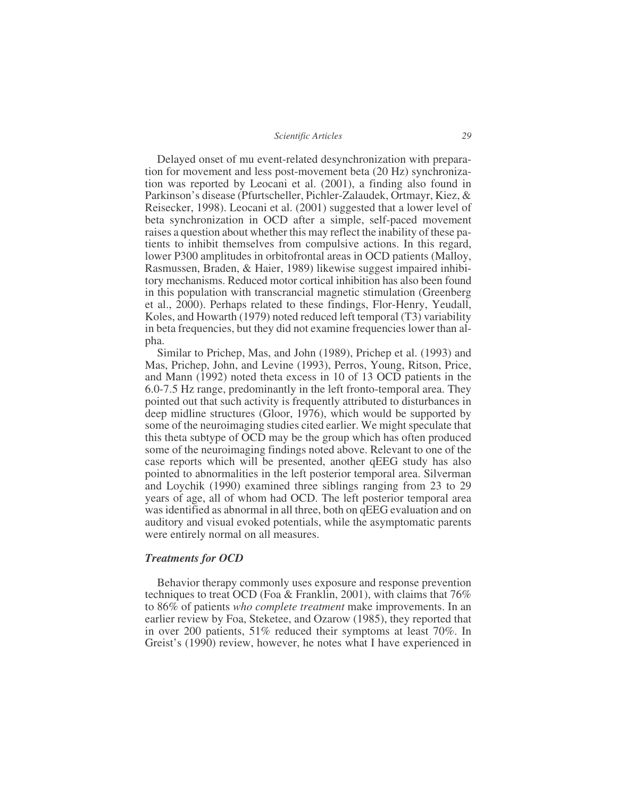Delayed onset of mu event-related desynchronization with preparation for movement and less post-movement beta (20 Hz) synchronization was reported by Leocani et al. (2001), a finding also found in Parkinson's disease (Pfurtscheller, Pichler-Zalaudek, Ortmayr, Kiez, & Reisecker, 1998). Leocani et al. (2001) suggested that a lower level of beta synchronization in OCD after a simple, self-paced movement raises a question about whether this may reflect the inability of these patients to inhibit themselves from compulsive actions. In this regard, lower P300 amplitudes in orbitofrontal areas in OCD patients (Malloy, Rasmussen, Braden, & Haier, 1989) likewise suggest impaired inhibitory mechanisms. Reduced motor cortical inhibition has also been found in this population with transcrancial magnetic stimulation (Greenberg et al., 2000). Perhaps related to these findings, Flor-Henry, Yeudall, Koles, and Howarth (1979) noted reduced left temporal (T3) variability in beta frequencies, but they did not examine frequencies lower than alpha.

Similar to Prichep, Mas, and John (1989), Prichep et al. (1993) and Mas, Prichep, John, and Levine (1993), Perros, Young, Ritson, Price, and Mann (1992) noted theta excess in 10 of 13 OCD patients in the 6.0-7.5 Hz range, predominantly in the left fronto-temporal area. They pointed out that such activity is frequently attributed to disturbances in deep midline structures (Gloor, 1976), which would be supported by some of the neuroimaging studies cited earlier. We might speculate that this theta subtype of OCD may be the group which has often produced some of the neuroimaging findings noted above. Relevant to one of the case reports which will be presented, another qEEG study has also pointed to abnormalities in the left posterior temporal area. Silverman and Loychik (1990) examined three siblings ranging from 23 to 29 years of age, all of whom had OCD. The left posterior temporal area was identified as abnormal in all three, both on qEEG evaluation and on auditory and visual evoked potentials, while the asymptomatic parents were entirely normal on all measures.

# *Treatments for OCD*

Behavior therapy commonly uses exposure and response prevention techniques to treat OCD (Foa & Franklin, 2001), with claims that  $76\%$ to 86% of patients *who complete treatment* make improvements. In an earlier review by Foa, Steketee, and Ozarow (1985), they reported that in over 200 patients, 51% reduced their symptoms at least 70%. In Greist's (1990) review, however, he notes what I have experienced in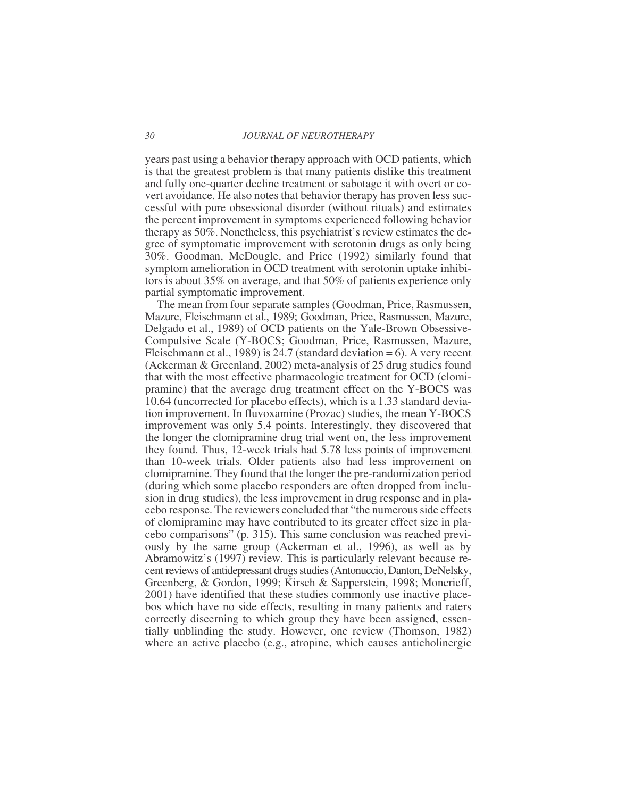years past using a behavior therapy approach with OCD patients, which is that the greatest problem is that many patients dislike this treatment and fully one-quarter decline treatment or sabotage it with overt or covert avoidance. He also notes that behavior therapy has proven less successful with pure obsessional disorder (without rituals) and estimates the percent improvement in symptoms experienced following behavior therapy as 50%. Nonetheless, this psychiatrist's review estimates the degree of symptomatic improvement with serotonin drugs as only being 30%. Goodman, McDougle, and Price (1992) similarly found that symptom amelioration in OCD treatment with serotonin uptake inhibitors is about 35% on average, and that 50% of patients experience only partial symptomatic improvement.

The mean from four separate samples (Goodman, Price, Rasmussen, Mazure, Fleischmann et al., 1989; Goodman, Price, Rasmussen, Mazure, Delgado et al., 1989) of OCD patients on the Yale-Brown Obsessive-Compulsive Scale (Y-BOCS; Goodman, Price, Rasmussen, Mazure, Fleischmann et al., 1989) is 24.7 (standard deviation = 6). A very recent (Ackerman & Greenland, 2002) meta-analysis of 25 drug studies found that with the most effective pharmacologic treatment for OCD (clomipramine) that the average drug treatment effect on the Y-BOCS was 10.64 (uncorrected for placebo effects), which is a 1.33 standard deviation improvement. In fluvoxamine (Prozac) studies, the mean Y-BOCS improvement was only 5.4 points. Interestingly, they discovered that the longer the clomipramine drug trial went on, the less improvement they found. Thus, 12-week trials had 5.78 less points of improvement than 10-week trials. Older patients also had less improvement on clomipramine. They found that the longer the pre-randomization period (during which some placebo responders are often dropped from inclusion in drug studies), the less improvement in drug response and in placebo response. The reviewers concluded that "the numerous side effects of clomipramine may have contributed to its greater effect size in placebo comparisons" (p. 315). This same conclusion was reached previously by the same group (Ackerman et al., 1996), as well as by Abramowitz's (1997) review. This is particularly relevant because recent reviews of antidepressant drugs studies (Antonuccio, Danton, DeNelsky, Greenberg, & Gordon, 1999; Kirsch & Sapperstein, 1998; Moncrieff, 2001) have identified that these studies commonly use inactive placebos which have no side effects, resulting in many patients and raters correctly discerning to which group they have been assigned, essentially unblinding the study. However, one review (Thomson, 1982) where an active placebo (e.g., atropine, which causes anticholinergic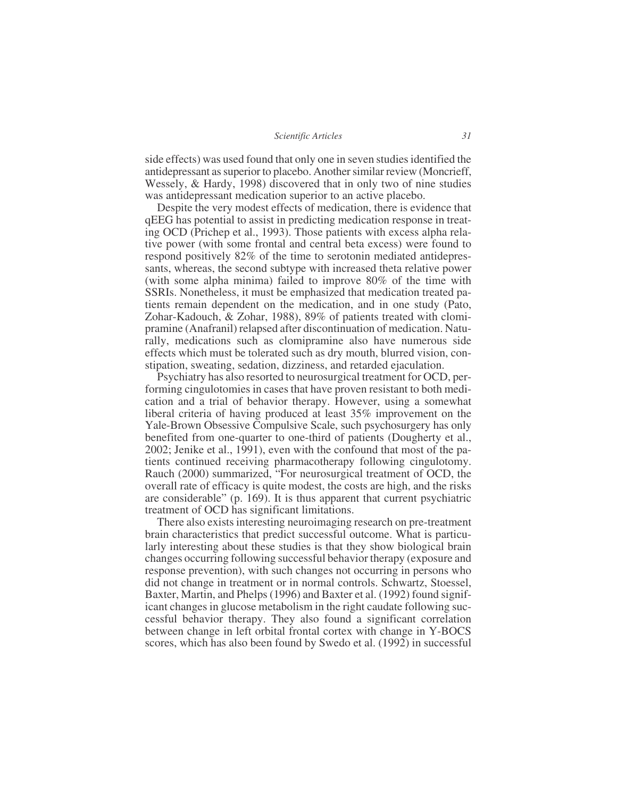side effects) was used found that only one in seven studies identified the antidepressant as superior to placebo. Another similar review (Moncrieff, Wessely, & Hardy, 1998) discovered that in only two of nine studies was antidepressant medication superior to an active placebo.

Despite the very modest effects of medication, there is evidence that qEEG has potential to assist in predicting medication response in treating OCD (Prichep et al., 1993). Those patients with excess alpha relative power (with some frontal and central beta excess) were found to respond positively 82% of the time to serotonin mediated antidepressants, whereas, the second subtype with increased theta relative power (with some alpha minima) failed to improve 80% of the time with SSRIs. Nonetheless, it must be emphasized that medication treated patients remain dependent on the medication, and in one study (Pato, Zohar-Kadouch, & Zohar, 1988), 89% of patients treated with clomipramine (Anafranil) relapsed after discontinuation of medication. Naturally, medications such as clomipramine also have numerous side effects which must be tolerated such as dry mouth, blurred vision, constipation, sweating, sedation, dizziness, and retarded ejaculation.

Psychiatry has also resorted to neurosurgical treatment for OCD, performing cingulotomies in cases that have proven resistant to both medication and a trial of behavior therapy. However, using a somewhat liberal criteria of having produced at least 35% improvement on the Yale-Brown Obsessive Compulsive Scale, such psychosurgery has only benefited from one-quarter to one-third of patients (Dougherty et al., 2002; Jenike et al., 1991), even with the confound that most of the patients continued receiving pharmacotherapy following cingulotomy. Rauch (2000) summarized, "For neurosurgical treatment of OCD, the overall rate of efficacy is quite modest, the costs are high, and the risks are considerable" (p. 169). It is thus apparent that current psychiatric treatment of OCD has significant limitations.

There also exists interesting neuroimaging research on pre-treatment brain characteristics that predict successful outcome. What is particularly interesting about these studies is that they show biological brain changes occurring following successful behavior therapy (exposure and response prevention), with such changes not occurring in persons who did not change in treatment or in normal controls. Schwartz, Stoessel, Baxter, Martin, and Phelps (1996) and Baxter et al. (1992) found significant changes in glucose metabolism in the right caudate following successful behavior therapy. They also found a significant correlation between change in left orbital frontal cortex with change in Y-BOCS scores, which has also been found by Swedo et al. (1992) in successful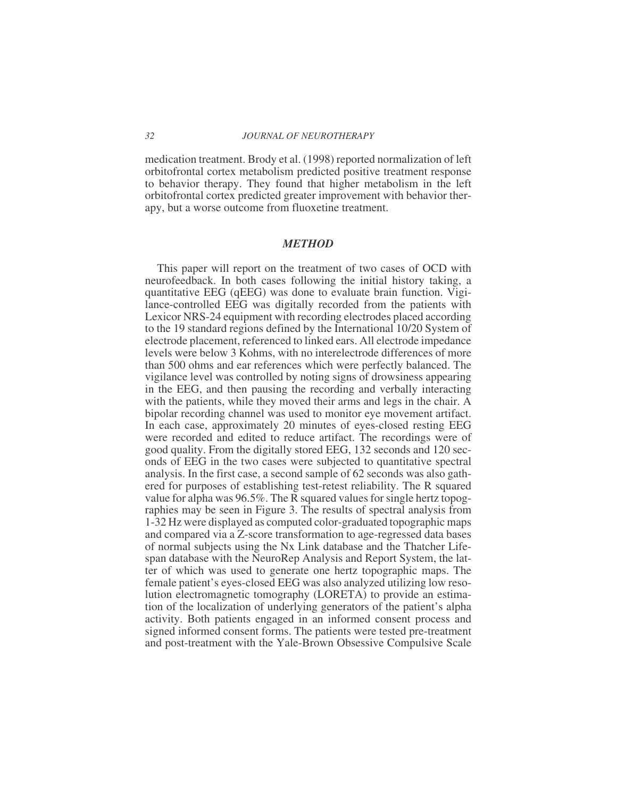medication treatment. Brody et al. (1998) reported normalization of left orbitofrontal cortex metabolism predicted positive treatment response to behavior therapy. They found that higher metabolism in the left orbitofrontal cortex predicted greater improvement with behavior therapy, but a worse outcome from fluoxetine treatment.

# *METHOD*

This paper will report on the treatment of two cases of OCD with neurofeedback. In both cases following the initial history taking, a quantitative EEG (qEEG) was done to evaluate brain function. Vigilance-controlled EEG was digitally recorded from the patients with Lexicor NRS-24 equipment with recording electrodes placed according to the 19 standard regions defined by the International 10/20 System of electrode placement, referenced to linked ears. All electrode impedance levels were below 3 Kohms, with no interelectrode differences of more than 500 ohms and ear references which were perfectly balanced. The vigilance level was controlled by noting signs of drowsiness appearing in the EEG, and then pausing the recording and verbally interacting with the patients, while they moved their arms and legs in the chair. A bipolar recording channel was used to monitor eye movement artifact. In each case, approximately 20 minutes of eyes-closed resting EEG were recorded and edited to reduce artifact. The recordings were of good quality. From the digitally stored EEG, 132 seconds and 120 seconds of EEG in the two cases were subjected to quantitative spectral analysis. In the first case, a second sample of 62 seconds was also gathered for purposes of establishing test-retest reliability. The R squared value for alpha was 96.5%. The R squared values for single hertz topographies may be seen in Figure 3. The results of spectral analysis from 1-32 Hz were displayed as computed color-graduated topographic maps and compared via a Z-score transformation to age-regressed data bases of normal subjects using the Nx Link database and the Thatcher Lifespan database with the NeuroRep Analysis and Report System, the latter of which was used to generate one hertz topographic maps. The female patient's eyes-closed EEG was also analyzed utilizing low resolution electromagnetic tomography (LORETA) to provide an estimation of the localization of underlying generators of the patient's alpha activity. Both patients engaged in an informed consent process and signed informed consent forms. The patients were tested pre-treatment and post-treatment with the Yale-Brown Obsessive Compulsive Scale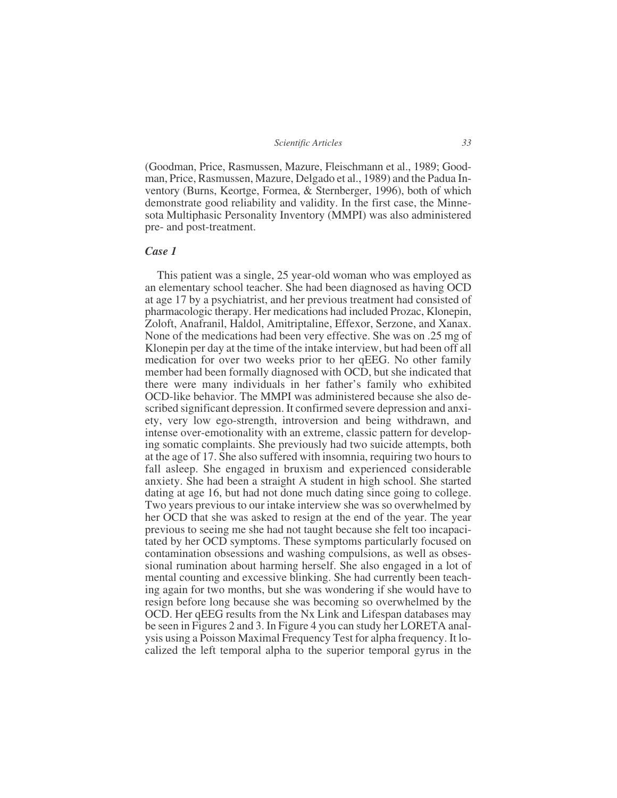(Goodman, Price, Rasmussen, Mazure, Fleischmann et al., 1989; Goodman, Price, Rasmussen, Mazure, Delgado et al., 1989) and the Padua Inventory (Burns, Keortge, Formea, & Sternberger, 1996), both of which demonstrate good reliability and validity. In the first case, the Minnesota Multiphasic Personality Inventory (MMPI) was also administered pre- and post-treatment.

# *Case 1*

This patient was a single, 25 year-old woman who was employed as an elementary school teacher. She had been diagnosed as having OCD at age 17 by a psychiatrist, and her previous treatment had consisted of pharmacologic therapy. Her medications had included Prozac, Klonepin, Zoloft, Anafranil, Haldol, Amitriptaline, Effexor, Serzone, and Xanax. None of the medications had been very effective. She was on .25 mg of Klonepin per day at the time of the intake interview, but had been off all medication for over two weeks prior to her qEEG. No other family member had been formally diagnosed with OCD, but she indicated that there were many individuals in her father's family who exhibited OCD-like behavior. The MMPI was administered because she also described significant depression. It confirmed severe depression and anxiety, very low ego-strength, introversion and being withdrawn, and intense over-emotionality with an extreme, classic pattern for developing somatic complaints. She previously had two suicide attempts, both at the age of 17. She also suffered with insomnia, requiring two hours to fall asleep. She engaged in bruxism and experienced considerable anxiety. She had been a straight A student in high school. She started dating at age 16, but had not done much dating since going to college. Two years previous to our intake interview she was so overwhelmed by her OCD that she was asked to resign at the end of the year. The year previous to seeing me she had not taught because she felt too incapacitated by her OCD symptoms. These symptoms particularly focused on contamination obsessions and washing compulsions, as well as obsessional rumination about harming herself. She also engaged in a lot of mental counting and excessive blinking. She had currently been teaching again for two months, but she was wondering if she would have to resign before long because she was becoming so overwhelmed by the OCD. Her qEEG results from the Nx Link and Lifespan databases may be seen in Figures 2 and 3. In Figure 4 you can study her LORETA analysis using a Poisson Maximal Frequency Test for alpha frequency. It localized the left temporal alpha to the superior temporal gyrus in the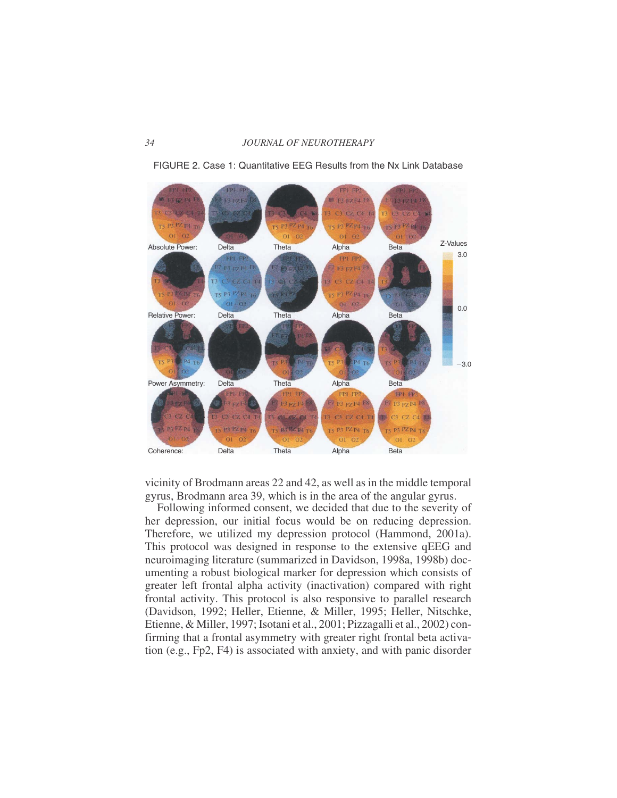

FIGURE 2. Case 1: Quantitative EEG Results from the Nx Link Database

vicinity of Brodmann areas 22 and 42, as well as in the middle temporal gyrus, Brodmann area 39, which is in the area of the angular gyrus.

Following informed consent, we decided that due to the severity of her depression, our initial focus would be on reducing depression. Therefore, we utilized my depression protocol (Hammond, 2001a). This protocol was designed in response to the extensive qEEG and neuroimaging literature (summarized in Davidson, 1998a, 1998b) documenting a robust biological marker for depression which consists of greater left frontal alpha activity (inactivation) compared with right frontal activity. This protocol is also responsive to parallel research (Davidson, 1992; Heller, Etienne, & Miller, 1995; Heller, Nitschke, Etienne, & Miller, 1997; Isotani et al., 2001; Pizzagalli et al., 2002) confirming that a frontal asymmetry with greater right frontal beta activation (e.g., Fp2, F4) is associated with anxiety, and with panic disorder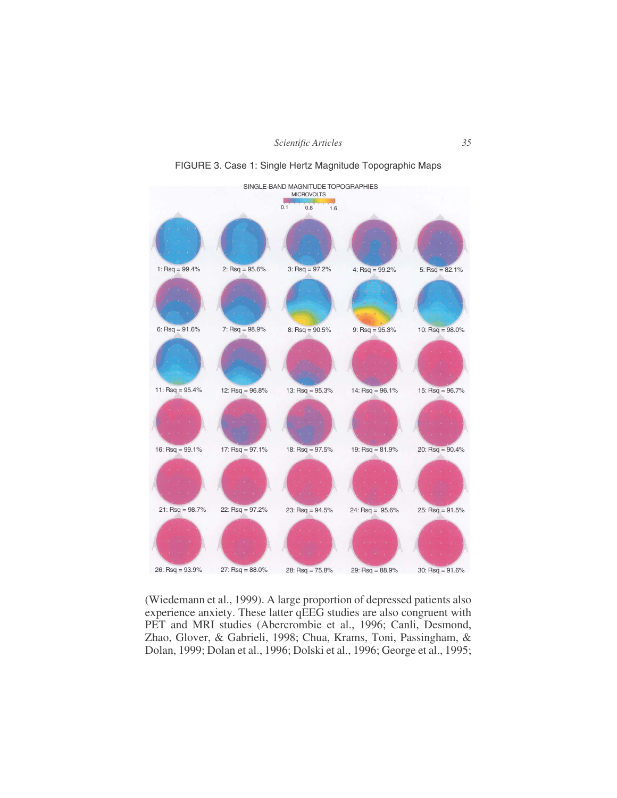

FIGURE 3. Case 1: Single Hertz Magnitude Topographic Maps

(Wiedemann et al., 1999). A large proportion of depressed patients also experience anxiety. These latter qEEG studies are also congruent with PET and MRI studies (Abercrombie et al., 1996; Canli, Desmond, Zhao, Glover, & Gabrieli, 1998; Chua, Krams, Toni, Passingham, & Dolan, 1999; Dolan et al., 1996; Dolski et al., 1996; George et al., 1995;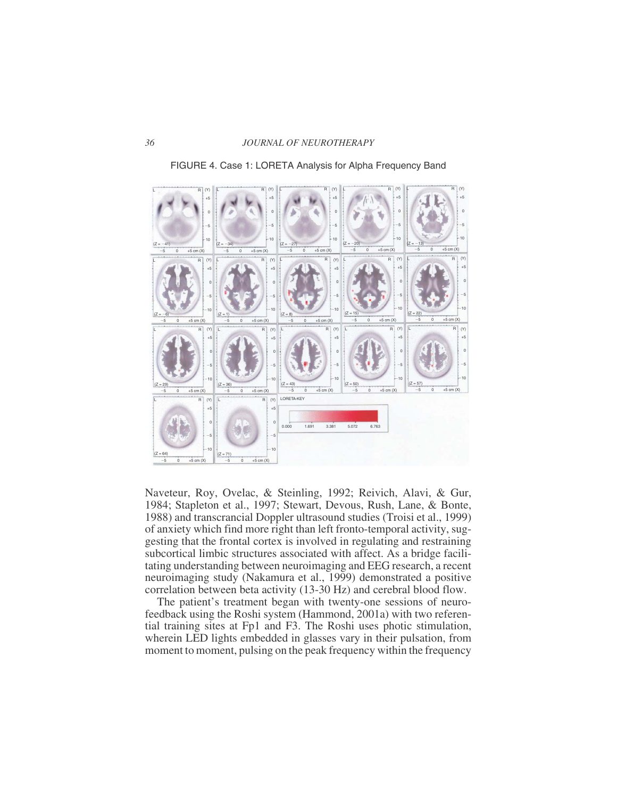

FIGURE 4. Case 1: LORETA Analysis for Alpha Frequency Band

Naveteur, Roy, Ovelac, & Steinling, 1992; Reivich, Alavi, & Gur, 1984; Stapleton et al., 1997; Stewart, Devous, Rush, Lane, & Bonte, 1988) and transcrancial Doppler ultrasound studies (Troisi et al., 1999) of anxiety which find more right than left fronto-temporal activity, suggesting that the frontal cortex is involved in regulating and restraining subcortical limbic structures associated with affect. As a bridge facilitating understanding between neuroimaging and EEG research, a recent neuroimaging study (Nakamura et al., 1999) demonstrated a positive correlation between beta activity (13-30 Hz) and cerebral blood flow.

The patient's treatment began with twenty-one sessions of neurofeedback using the Roshi system (Hammond, 2001a) with two referential training sites at Fp1 and F3. The Roshi uses photic stimulation, wherein LED lights embedded in glasses vary in their pulsation, from moment to moment, pulsing on the peak frequency within the frequency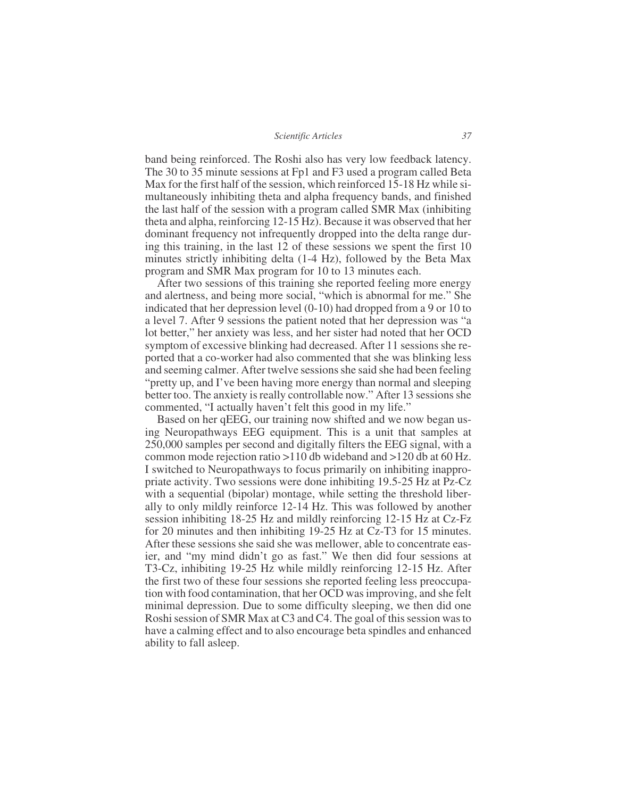band being reinforced. The Roshi also has very low feedback latency. The 30 to 35 minute sessions at Fp1 and F3 used a program called Beta Max for the first half of the session, which reinforced 15-18 Hz while simultaneously inhibiting theta and alpha frequency bands, and finished the last half of the session with a program called SMR Max (inhibiting theta and alpha, reinforcing 12-15 Hz). Because it was observed that her dominant frequency not infrequently dropped into the delta range during this training, in the last 12 of these sessions we spent the first 10 minutes strictly inhibiting delta (1-4 Hz), followed by the Beta Max program and SMR Max program for 10 to 13 minutes each.

After two sessions of this training she reported feeling more energy and alertness, and being more social, "which is abnormal for me." She indicated that her depression level (0-10) had dropped from a 9 or 10 to a level 7. After 9 sessions the patient noted that her depression was "a lot better," her anxiety was less, and her sister had noted that her OCD symptom of excessive blinking had decreased. After 11 sessions she reported that a co-worker had also commented that she was blinking less and seeming calmer. After twelve sessions she said she had been feeling "pretty up, and I've been having more energy than normal and sleeping better too. The anxiety is really controllable now." After 13 sessions she commented, "I actually haven't felt this good in my life."

Based on her qEEG, our training now shifted and we now began using Neuropathways EEG equipment. This is a unit that samples at 250,000 samples per second and digitally filters the EEG signal, with a common mode rejection ratio >110 db wideband and >120 db at 60 Hz. I switched to Neuropathways to focus primarily on inhibiting inappropriate activity. Two sessions were done inhibiting 19.5-25 Hz at Pz-Cz with a sequential (bipolar) montage, while setting the threshold liberally to only mildly reinforce 12-14 Hz. This was followed by another session inhibiting 18-25 Hz and mildly reinforcing 12-15 Hz at Cz-Fz for 20 minutes and then inhibiting 19-25 Hz at Cz-T3 for 15 minutes. After these sessions she said she was mellower, able to concentrate easier, and "my mind didn't go as fast." We then did four sessions at T3-Cz, inhibiting 19-25 Hz while mildly reinforcing 12-15 Hz. After the first two of these four sessions she reported feeling less preoccupation with food contamination, that her OCD was improving, and she felt minimal depression. Due to some difficulty sleeping, we then did one Roshi session of SMR Max at C3 and C4. The goal of this session was to have a calming effect and to also encourage beta spindles and enhanced ability to fall asleep.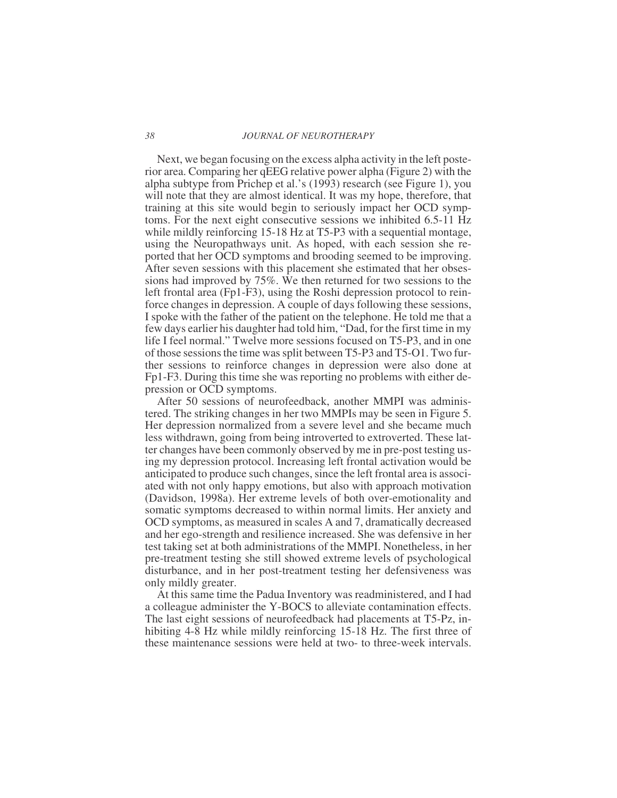Next, we began focusing on the excess alpha activity in the left posterior area. Comparing her qEEG relative power alpha (Figure 2) with the alpha subtype from Prichep et al.'s (1993) research (see Figure 1), you will note that they are almost identical. It was my hope, therefore, that training at this site would begin to seriously impact her OCD symptoms. For the next eight consecutive sessions we inhibited 6.5-11 Hz while mildly reinforcing 15-18 Hz at T5-P3 with a sequential montage, using the Neuropathways unit. As hoped, with each session she reported that her OCD symptoms and brooding seemed to be improving. After seven sessions with this placement she estimated that her obsessions had improved by 75%. We then returned for two sessions to the left frontal area (Fp1-F3), using the Roshi depression protocol to reinforce changes in depression. A couple of days following these sessions, I spoke with the father of the patient on the telephone. He told me that a few days earlier his daughter had told him, "Dad, for the first time in my life I feel normal." Twelve more sessions focused on T5-P3, and in one of those sessions the time was split between T5-P3 and T5-O1. Two further sessions to reinforce changes in depression were also done at Fp1-F3. During this time she was reporting no problems with either depression or OCD symptoms.

After 50 sessions of neurofeedback, another MMPI was administered. The striking changes in her two MMPIs may be seen in Figure 5. Her depression normalized from a severe level and she became much less withdrawn, going from being introverted to extroverted. These latter changes have been commonly observed by me in pre-post testing using my depression protocol. Increasing left frontal activation would be anticipated to produce such changes, since the left frontal area is associated with not only happy emotions, but also with approach motivation (Davidson, 1998a). Her extreme levels of both over-emotionality and somatic symptoms decreased to within normal limits. Her anxiety and OCD symptoms, as measured in scales A and 7, dramatically decreased and her ego-strength and resilience increased. She was defensive in her test taking set at both administrations of the MMPI. Nonetheless, in her pre-treatment testing she still showed extreme levels of psychological disturbance, and in her post-treatment testing her defensiveness was only mildly greater.

At this same time the Padua Inventory was readministered, and I had a colleague administer the Y-BOCS to alleviate contamination effects. The last eight sessions of neurofeedback had placements at T5-Pz, inhibiting 4-8 Hz while mildly reinforcing 15-18 Hz. The first three of these maintenance sessions were held at two- to three-week intervals.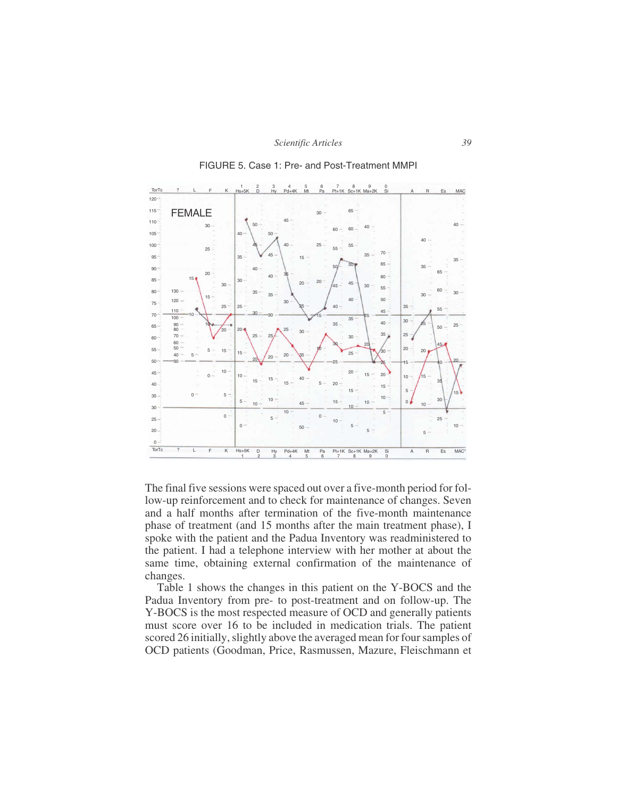$\Omega$  3 Hy 4 Pd+4K 5 Mt 5 Mt 6 Pa 6 Pa 7 8 9 Pt+1K Sc+1K Ma+2K 7 8 9 Pt+1K Sc+1K Ma+2K 0 Si TorTc TorTc ? ? L L F F K  $\mathsf K$ Hs+5K Hs+5K D Hy Pd+4K Si A A R R Es Es MAC MAC\* 80 50  $\Omega$  $\mathfrak{o}$   $\overline{0}$   $\overline{20}$  FEMALE

FIGURE 5. Case 1: Pre- and Post-Treatment MMPI

The final five sessions were spaced out over a five-month period for follow-up reinforcement and to check for maintenance of changes. Seven and a half months after termination of the five-month maintenance phase of treatment (and 15 months after the main treatment phase), I spoke with the patient and the Padua Inventory was readministered to the patient. I had a telephone interview with her mother at about the same time, obtaining external confirmation of the maintenance of changes.

Table 1 shows the changes in this patient on the Y-BOCS and the Padua Inventory from pre- to post-treatment and on follow-up. The Y-BOCS is the most respected measure of OCD and generally patients must score over 16 to be included in medication trials. The patient scored 26 initially, slightly above the averaged mean for four samples of OCD patients (Goodman, Price, Rasmussen, Mazure, Fleischmann et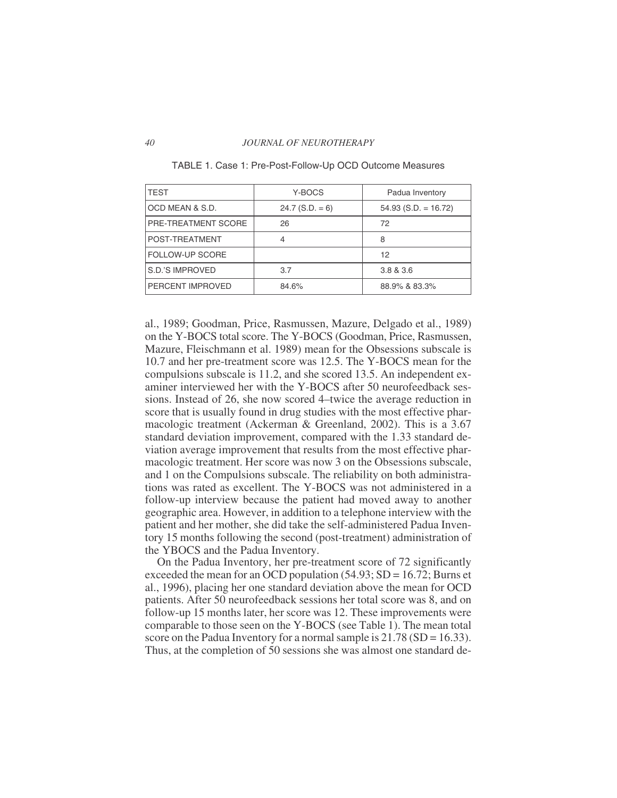| <b>TEST</b>         | Y-BOCS            | Padua Inventory        |
|---------------------|-------------------|------------------------|
| OCD MEAN & S.D.     | $24.7$ (S.D. = 6) | $54.93$ (S.D. = 16.72) |
| PRE-TREATMENT SCORE | 26                | 72                     |
| POST-TREATMENT      |                   | 8                      |
| FOLLOW-UP SCORE     |                   | 12                     |
| S.D.'S IMPROVED     | 3.7               | 3.8 & 3.6              |
| PERCENT IMPROVED    | 84.6%             | 88.9% & 83.3%          |

TABLE 1. Case 1: Pre-Post-Follow-Up OCD Outcome Measures

al., 1989; Goodman, Price, Rasmussen, Mazure, Delgado et al., 1989) on the Y-BOCS total score. The Y-BOCS (Goodman, Price, Rasmussen, Mazure, Fleischmann et al. 1989) mean for the Obsessions subscale is 10.7 and her pre-treatment score was 12.5. The Y-BOCS mean for the compulsions subscale is 11.2, and she scored 13.5. An independent examiner interviewed her with the Y-BOCS after 50 neurofeedback sessions. Instead of 26, she now scored 4–twice the average reduction in score that is usually found in drug studies with the most effective pharmacologic treatment (Ackerman & Greenland, 2002). This is a 3.67 standard deviation improvement, compared with the 1.33 standard deviation average improvement that results from the most effective pharmacologic treatment. Her score was now 3 on the Obsessions subscale, and 1 on the Compulsions subscale. The reliability on both administrations was rated as excellent. The Y-BOCS was not administered in a follow-up interview because the patient had moved away to another geographic area. However, in addition to a telephone interview with the patient and her mother, she did take the self-administered Padua Inventory 15 months following the second (post-treatment) administration of the YBOCS and the Padua Inventory.

On the Padua Inventory, her pre-treatment score of 72 significantly exceeded the mean for an OCD population  $(54.93; SD = 16.72; Burns et$ al., 1996), placing her one standard deviation above the mean for OCD patients. After 50 neurofeedback sessions her total score was 8, and on follow-up 15 months later, her score was 12. These improvements were comparable to those seen on the Y-BOCS (see Table 1). The mean total score on the Padua Inventory for a normal sample is  $21.78$  (SD = 16.33). Thus, at the completion of 50 sessions she was almost one standard de-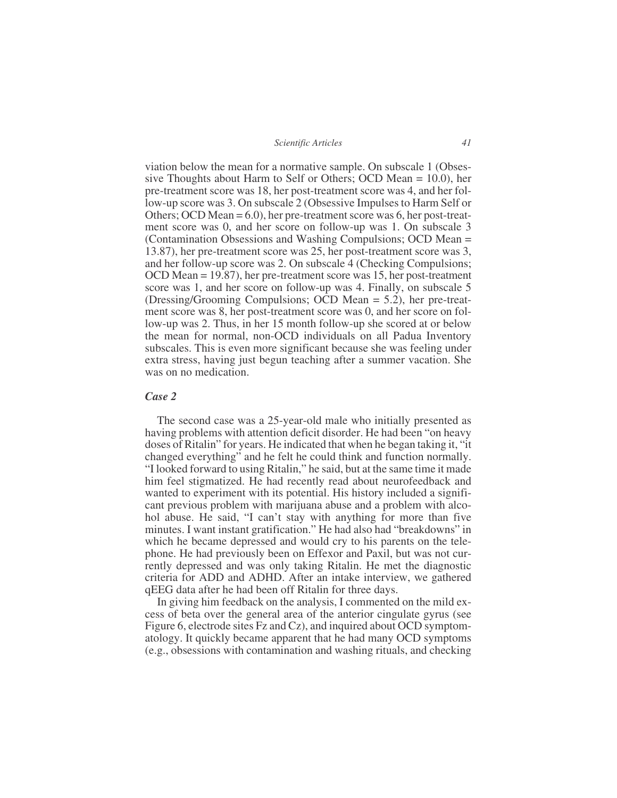viation below the mean for a normative sample. On subscale 1 (Obsessive Thoughts about Harm to Self or Others; OCD Mean = 10.0), her pre-treatment score was 18, her post-treatment score was 4, and her follow-up score was 3. On subscale 2 (Obsessive Impulses to Harm Self or Others; OCD Mean = 6.0), her pre-treatment score was 6, her post-treatment score was 0, and her score on follow-up was 1. On subscale 3 (Contamination Obsessions and Washing Compulsions; OCD Mean = 13.87), her pre-treatment score was 25, her post-treatment score was 3, and her follow-up score was 2. On subscale 4 (Checking Compulsions; OCD Mean = 19.87), her pre-treatment score was 15, her post-treatment score was 1, and her score on follow-up was 4. Finally, on subscale 5 (Dressing/Grooming Compulsions; OCD Mean = 5.2), her pre-treatment score was 8, her post-treatment score was 0, and her score on follow-up was 2. Thus, in her 15 month follow-up she scored at or below the mean for normal, non-OCD individuals on all Padua Inventory subscales. This is even more significant because she was feeling under extra stress, having just begun teaching after a summer vacation. She was on no medication.

## *Case 2*

The second case was a 25-year-old male who initially presented as having problems with attention deficit disorder. He had been "on heavy doses of Ritalin" for years. He indicated that when he began taking it, "it changed everything" and he felt he could think and function normally. "I looked forward to using Ritalin," he said, but at the same time it made him feel stigmatized. He had recently read about neurofeedback and wanted to experiment with its potential. His history included a significant previous problem with marijuana abuse and a problem with alcohol abuse. He said, "I can't stay with anything for more than five minutes. I want instant gratification." He had also had "breakdowns" in which he became depressed and would cry to his parents on the telephone. He had previously been on Effexor and Paxil, but was not currently depressed and was only taking Ritalin. He met the diagnostic criteria for ADD and ADHD. After an intake interview, we gathered qEEG data after he had been off Ritalin for three days.

In giving him feedback on the analysis, I commented on the mild excess of beta over the general area of the anterior cingulate gyrus (see Figure 6, electrode sites Fz and Cz), and inquired about OCD symptomatology. It quickly became apparent that he had many OCD symptoms (e.g., obsessions with contamination and washing rituals, and checking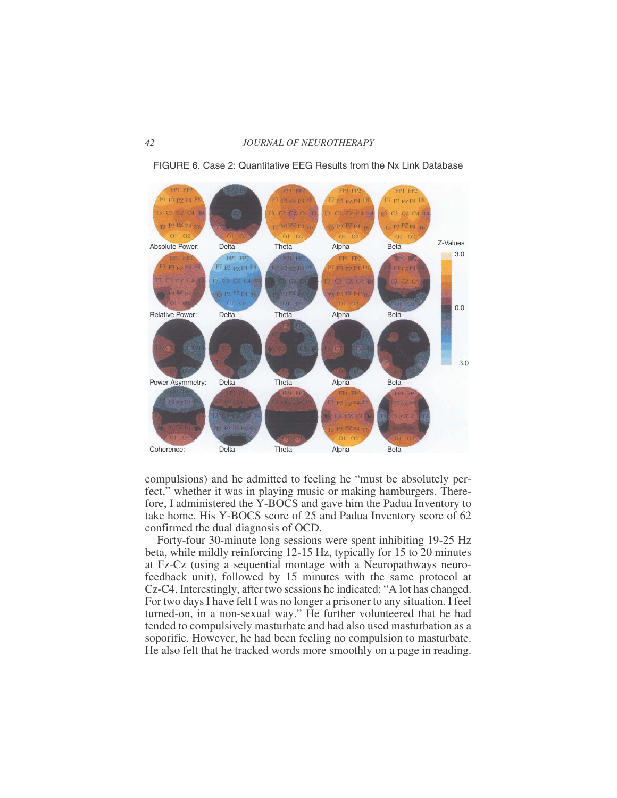

FIGURE 6. Case 2: Quantitative EEG Results from the Nx Link Database

compulsions) and he admitted to feeling he "must be absolutely perfect," whether it was in playing music or making hamburgers. Therefore, I administered the Y-BOCS and gave him the Padua Inventory to take home. His Y-BOCS score of 25 and Padua Inventory score of 62 confirmed the dual diagnosis of OCD.

Forty-four 30-minute long sessions were spent inhibiting 19-25 Hz beta, while mildly reinforcing 12-15 Hz, typically for 15 to 20 minutes at Fz-Cz (using a sequential montage with a Neuropathways neurofeedback unit), followed by 15 minutes with the same protocol at Cz-C4. Interestingly, after two sessions he indicated: "A lot has changed. For two days I have felt I was no longer a prisoner to any situation. I feel turned-on, in a non-sexual way." He further volunteered that he had tended to compulsively masturbate and had also used masturbation as a soporific. However, he had been feeling no compulsion to masturbate. He also felt that he tracked words more smoothly on a page in reading.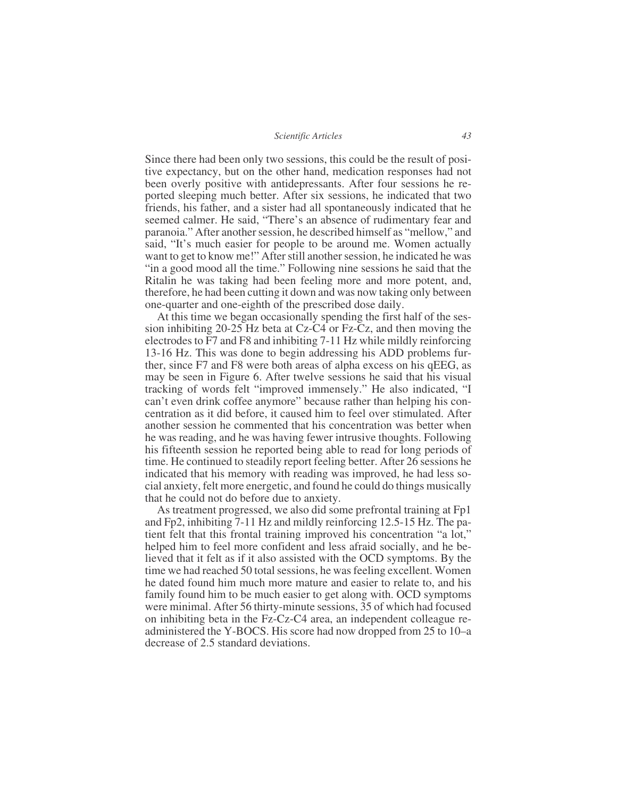Since there had been only two sessions, this could be the result of positive expectancy, but on the other hand, medication responses had not been overly positive with antidepressants. After four sessions he reported sleeping much better. After six sessions, he indicated that two friends, his father, and a sister had all spontaneously indicated that he seemed calmer. He said, "There's an absence of rudimentary fear and paranoia." After another session, he described himself as "mellow," and said, "It's much easier for people to be around me. Women actually want to get to know me!" After still another session, he indicated he was "in a good mood all the time." Following nine sessions he said that the Ritalin he was taking had been feeling more and more potent, and, therefore, he had been cutting it down and was now taking only between one-quarter and one-eighth of the prescribed dose daily.

At this time we began occasionally spending the first half of the session inhibiting 20-25 Hz beta at Cz-C4 or Fz-Cz, and then moving the electrodes to F7 and F8 and inhibiting 7-11 Hz while mildly reinforcing 13-16 Hz. This was done to begin addressing his ADD problems further, since F7 and F8 were both areas of alpha excess on his qEEG, as may be seen in Figure 6. After twelve sessions he said that his visual tracking of words felt "improved immensely." He also indicated, "I can't even drink coffee anymore" because rather than helping his concentration as it did before, it caused him to feel over stimulated. After another session he commented that his concentration was better when he was reading, and he was having fewer intrusive thoughts. Following his fifteenth session he reported being able to read for long periods of time. He continued to steadily report feeling better. After 26 sessions he indicated that his memory with reading was improved, he had less social anxiety, felt more energetic, and found he could do things musically that he could not do before due to anxiety.

As treatment progressed, we also did some prefrontal training at Fp1 and Fp2, inhibiting 7-11 Hz and mildly reinforcing 12.5-15 Hz. The patient felt that this frontal training improved his concentration "a lot," helped him to feel more confident and less afraid socially, and he believed that it felt as if it also assisted with the OCD symptoms. By the time we had reached 50 total sessions, he was feeling excellent. Women he dated found him much more mature and easier to relate to, and his family found him to be much easier to get along with. OCD symptoms were minimal. After 56 thirty-minute sessions, 35 of which had focused on inhibiting beta in the Fz-Cz-C4 area, an independent colleague readministered the Y-BOCS. His score had now dropped from 25 to 10–a decrease of 2.5 standard deviations.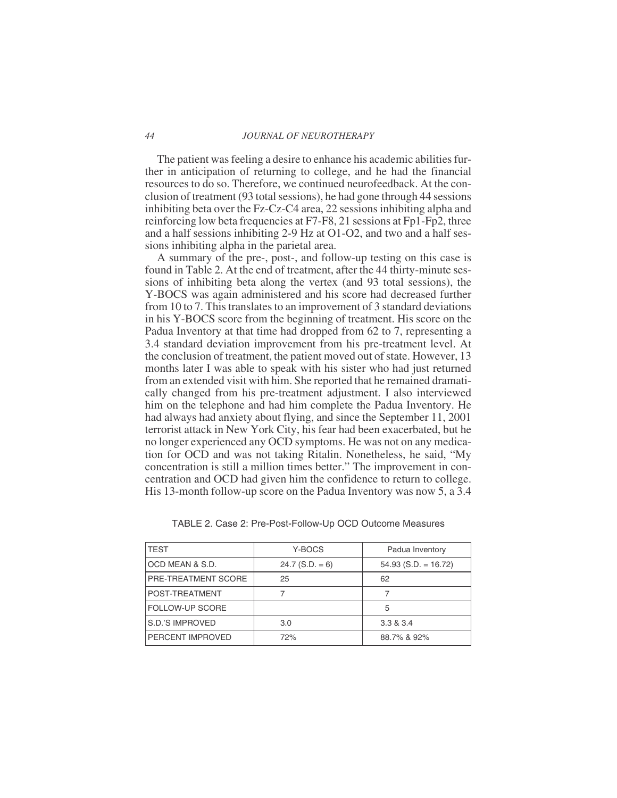The patient was feeling a desire to enhance his academic abilities further in anticipation of returning to college, and he had the financial resources to do so. Therefore, we continued neurofeedback. At the conclusion of treatment (93 total sessions), he had gone through 44 sessions inhibiting beta over the Fz-Cz-C4 area, 22 sessions inhibiting alpha and reinforcing low beta frequencies at F7-F8, 21 sessions at Fp1-Fp2, three and a half sessions inhibiting 2-9 Hz at O1-O2, and two and a half sessions inhibiting alpha in the parietal area.

A summary of the pre-, post-, and follow-up testing on this case is found in Table 2. At the end of treatment, after the 44 thirty-minute sessions of inhibiting beta along the vertex (and 93 total sessions), the Y-BOCS was again administered and his score had decreased further from 10 to 7. This translates to an improvement of 3 standard deviations in his Y-BOCS score from the beginning of treatment. His score on the Padua Inventory at that time had dropped from 62 to 7, representing a 3.4 standard deviation improvement from his pre-treatment level. At the conclusion of treatment, the patient moved out of state. However, 13 months later I was able to speak with his sister who had just returned from an extended visit with him. She reported that he remained dramatically changed from his pre-treatment adjustment. I also interviewed him on the telephone and had him complete the Padua Inventory. He had always had anxiety about flying, and since the September 11, 2001 terrorist attack in New York City, his fear had been exacerbated, but he no longer experienced any OCD symptoms. He was not on any medication for OCD and was not taking Ritalin. Nonetheless, he said, "My concentration is still a million times better." The improvement in concentration and OCD had given him the confidence to return to college. His 13-month follow-up score on the Padua Inventory was now 5, a 3.4

| <b>TEST</b>                | Y-BOCS            | Padua Inventory        |
|----------------------------|-------------------|------------------------|
| OCD MEAN & S.D.            | $24.7$ (S.D. = 6) | $54.93$ (S.D. = 16.72) |
| <b>PRE-TREATMENT SCORE</b> | 25                | 62                     |
| POST-TREATMENT             |                   |                        |
| FOLLOW-UP SCORE            |                   | 5                      |
| S.D.'S IMPROVED            | 3.0               | 3.3 & 3.4              |
| PERCENT IMPROVED           | 72%               | 88.7% & 92%            |

TABLE 2. Case 2: Pre-Post-Follow-Up OCD Outcome Measures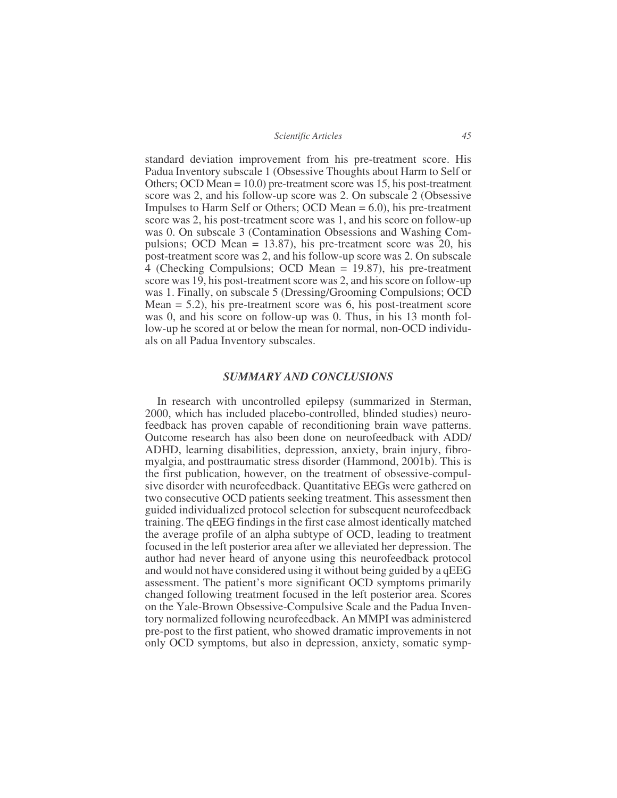standard deviation improvement from his pre-treatment score. His Padua Inventory subscale 1 (Obsessive Thoughts about Harm to Self or Others; OCD Mean = 10.0) pre-treatment score was 15, his post-treatment score was 2, and his follow-up score was 2. On subscale 2 (Obsessive Impulses to Harm Self or Others; OCD Mean = 6.0), his pre-treatment score was 2, his post-treatment score was 1, and his score on follow-up was 0. On subscale 3 (Contamination Obsessions and Washing Compulsions; OCD Mean = 13.87), his pre-treatment score was 20, his post-treatment score was 2, and his follow-up score was 2. On subscale 4 (Checking Compulsions; OCD Mean = 19.87), his pre-treatment score was 19, his post-treatment score was 2, and his score on follow-up was 1. Finally, on subscale 5 (Dressing/Grooming Compulsions; OCD Mean = 5.2), his pre-treatment score was 6, his post-treatment score was 0, and his score on follow-up was 0. Thus, in his 13 month follow-up he scored at or below the mean for normal, non-OCD individuals on all Padua Inventory subscales.

# *SUMMARY AND CONCLUSIONS*

In research with uncontrolled epilepsy (summarized in Sterman, 2000, which has included placebo-controlled, blinded studies) neurofeedback has proven capable of reconditioning brain wave patterns. Outcome research has also been done on neurofeedback with ADD/ ADHD, learning disabilities, depression, anxiety, brain injury, fibromyalgia, and posttraumatic stress disorder (Hammond, 2001b). This is the first publication, however, on the treatment of obsessive-compulsive disorder with neurofeedback. Quantitative EEGs were gathered on two consecutive OCD patients seeking treatment. This assessment then guided individualized protocol selection for subsequent neurofeedback training. The qEEG findings in the first case almost identically matched the average profile of an alpha subtype of OCD, leading to treatment focused in the left posterior area after we alleviated her depression. The author had never heard of anyone using this neurofeedback protocol and would not have considered using it without being guided by a qEEG assessment. The patient's more significant OCD symptoms primarily changed following treatment focused in the left posterior area. Scores on the Yale-Brown Obsessive-Compulsive Scale and the Padua Inventory normalized following neurofeedback. An MMPI was administered pre-post to the first patient, who showed dramatic improvements in not only OCD symptoms, but also in depression, anxiety, somatic symp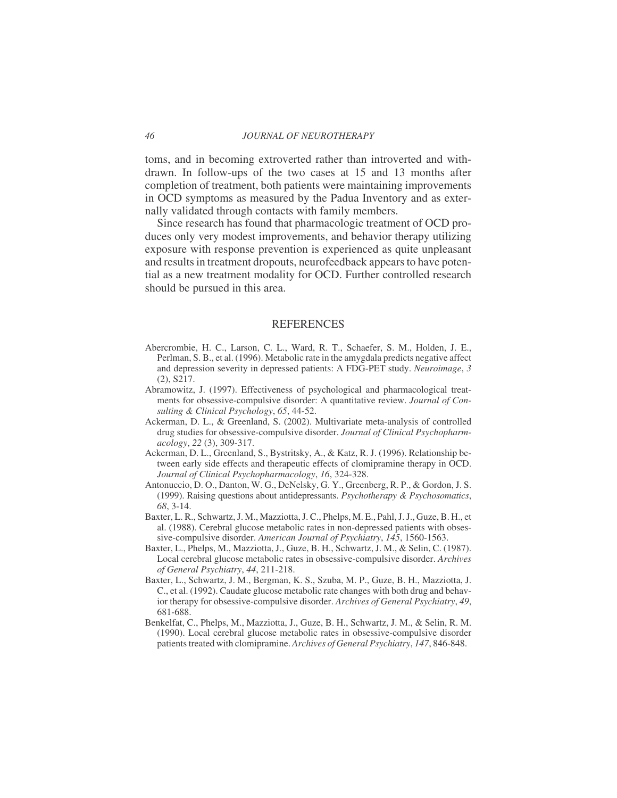toms, and in becoming extroverted rather than introverted and withdrawn. In follow-ups of the two cases at 15 and 13 months after completion of treatment, both patients were maintaining improvements in OCD symptoms as measured by the Padua Inventory and as externally validated through contacts with family members.

Since research has found that pharmacologic treatment of OCD produces only very modest improvements, and behavior therapy utilizing exposure with response prevention is experienced as quite unpleasant and results in treatment dropouts, neurofeedback appears to have potential as a new treatment modality for OCD. Further controlled research should be pursued in this area.

# REFERENCES

- Abercrombie, H. C., Larson, C. L., Ward, R. T., Schaefer, S. M., Holden, J. E., Perlman, S. B., et al. (1996). Metabolic rate in the amygdala predicts negative affect and depression severity in depressed patients: A FDG-PET study. *Neuroimage*, *3* (2), S217.
- Abramowitz, J. (1997). Effectiveness of psychological and pharmacological treatments for obsessive-compulsive disorder: A quantitative review. *Journal of Consulting & Clinical Psychology*, *65*, 44-52.
- Ackerman, D. L., & Greenland, S. (2002). Multivariate meta-analysis of controlled drug studies for obsessive-compulsive disorder. *Journal of Clinical Psychopharmacology*, *22* (3), 309-317.
- Ackerman, D. L., Greenland, S., Bystritsky, A., & Katz, R. J. (1996). Relationship between early side effects and therapeutic effects of clomipramine therapy in OCD. *Journal of Clinical Psychopharmacology*, *16*, 324-328.
- Antonuccio, D. O., Danton, W. G., DeNelsky, G. Y., Greenberg, R. P., & Gordon, J. S. (1999). Raising questions about antidepressants. *Psychotherapy & Psychosomatics*, *68*, 3-14.
- Baxter, L. R., Schwartz, J. M., Mazziotta, J. C., Phelps, M. E., Pahl, J. J., Guze, B. H., et al. (1988). Cerebral glucose metabolic rates in non-depressed patients with obsessive-compulsive disorder. *American Journal of Psychiatry*, *145*, 1560-1563.
- Baxter, L., Phelps, M., Mazziotta, J., Guze, B. H., Schwartz, J. M., & Selin, C. (1987). Local cerebral glucose metabolic rates in obsessive-compulsive disorder. *Archives of General Psychiatry*, *44*, 211-218.
- Baxter, L., Schwartz, J. M., Bergman, K. S., Szuba, M. P., Guze, B. H., Mazziotta, J. C., et al. (1992). Caudate glucose metabolic rate changes with both drug and behavior therapy for obsessive-compulsive disorder. *Archives of General Psychiatry*, *49*, 681-688.
- Benkelfat, C., Phelps, M., Mazziotta, J., Guze, B. H., Schwartz, J. M., & Selin, R. M. (1990). Local cerebral glucose metabolic rates in obsessive-compulsive disorder patients treated with clomipramine. *Archives of General Psychiatry*, *147*, 846-848.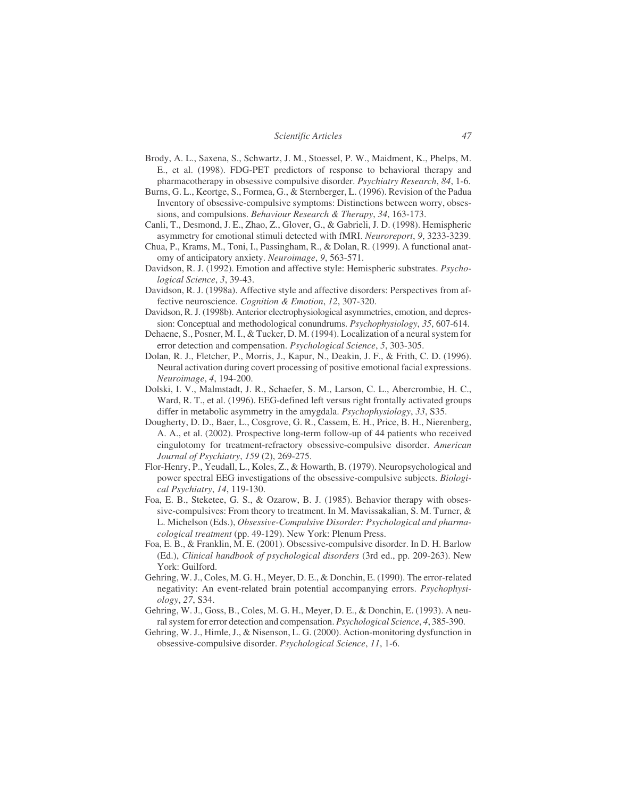- Brody, A. L., Saxena, S., Schwartz, J. M., Stoessel, P. W., Maidment, K., Phelps, M. E., et al. (1998). FDG-PET predictors of response to behavioral therapy and pharmacotherapy in obsessive compulsive disorder. *Psychiatry Research*, *84*, 1-6.
- Burns, G. L., Keortge, S., Formea, G., & Sternberger, L. (1996). Revision of the Padua Inventory of obsessive-compulsive symptoms: Distinctions between worry, obsessions, and compulsions. *Behaviour Research & Therapy*, *34*, 163-173.
- Canli, T., Desmond, J. E., Zhao, Z., Glover, G., & Gabrieli, J. D. (1998). Hemispheric asymmetry for emotional stimuli detected with fMRI. *Neuroreport*, *9*, 3233-3239.
- Chua, P., Krams, M., Toni, I., Passingham, R., & Dolan, R. (1999). A functional anatomy of anticipatory anxiety. *Neuroimage*, *9*, 563-571.
- Davidson, R. J. (1992). Emotion and affective style: Hemispheric substrates. *Psychological Science*, *3*, 39-43.
- Davidson, R. J. (1998a). Affective style and affective disorders: Perspectives from affective neuroscience. *Cognition & Emotion*, *12*, 307-320.
- Davidson, R. J. (1998b). Anterior electrophysiological asymmetries, emotion, and depression: Conceptual and methodological conundrums. *Psychophysiology*, *35*, 607-614.
- Dehaene, S., Posner, M. I., & Tucker, D. M. (1994). Localization of a neural system for error detection and compensation. *Psychological Science*, *5*, 303-305.
- Dolan, R. J., Fletcher, P., Morris, J., Kapur, N., Deakin, J. F., & Frith, C. D. (1996). Neural activation during covert processing of positive emotional facial expressions. *Neuroimage*, *4*, 194-200.
- Dolski, I. V., Malmstadt, J. R., Schaefer, S. M., Larson, C. L., Abercrombie, H. C., Ward, R. T., et al. (1996). EEG-defined left versus right frontally activated groups differ in metabolic asymmetry in the amygdala. *Psychophysiology*, *33*, S35.
- Dougherty, D. D., Baer, L., Cosgrove, G. R., Cassem, E. H., Price, B. H., Nierenberg, A. A., et al. (2002). Prospective long-term follow-up of 44 patients who received cingulotomy for treatment-refractory obsessive-compulsive disorder. *American Journal of Psychiatry*, *159* (2), 269-275.
- Flor-Henry, P., Yeudall, L., Koles, Z., & Howarth, B. (1979). Neuropsychological and power spectral EEG investigations of the obsessive-compulsive subjects. *Biological Psychiatry*, *14*, 119-130.
- Foa, E. B., Steketee, G. S., & Ozarow, B. J. (1985). Behavior therapy with obsessive-compulsives: From theory to treatment. In M. Mavissakalian, S. M. Turner, & L. Michelson (Eds.), *Obsessive-Compulsive Disorder: Psychological and pharmacological treatment* (pp. 49-129). New York: Plenum Press.
- Foa, E. B., & Franklin, M. E. (2001). Obsessive-compulsive disorder. In D. H. Barlow (Ed.), *Clinical handbook of psychological disorders* (3rd ed., pp. 209-263). New York: Guilford.
- Gehring, W. J., Coles, M. G. H., Meyer, D. E., & Donchin, E. (1990). The error-related negativity: An event-related brain potential accompanying errors. *Psychophysiology*, *27*, S34.
- Gehring, W. J., Goss, B., Coles, M. G. H., Meyer, D. E., & Donchin, E. (1993). A neural system for error detection and compensation. *Psychological Science*, *4*, 385-390.
- Gehring, W. J., Himle, J., & Nisenson, L. G. (2000). Action-monitoring dysfunction in obsessive-compulsive disorder. *Psychological Science*, *11*, 1-6.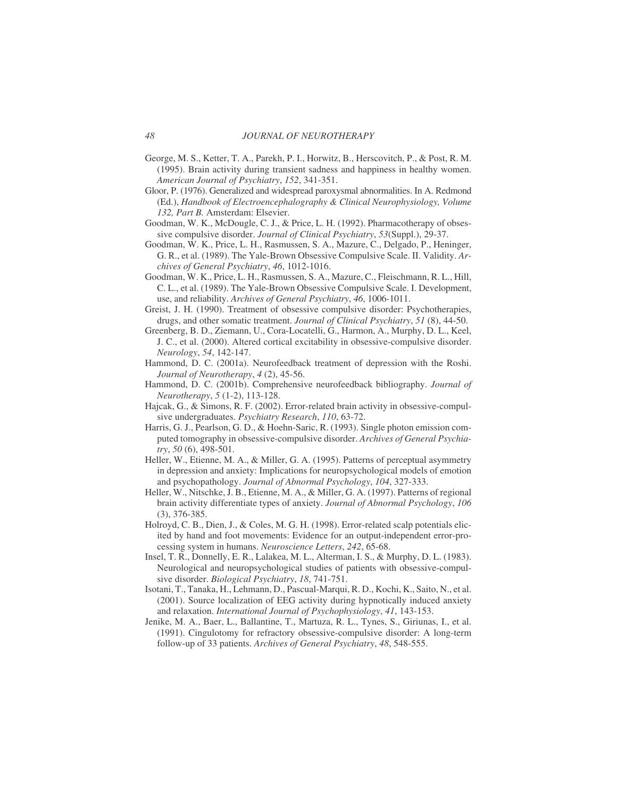- George, M. S., Ketter, T. A., Parekh, P. I., Horwitz, B., Herscovitch, P., & Post, R. M. (1995). Brain activity during transient sadness and happiness in healthy women. *American Journal of Psychiatry*, *152*, 341-351.
- Gloor, P. (1976). Generalized and widespread paroxysmal abnormalities. In A. Redmond (Ed.), *Handbook of Electroencephalography & Clinical Neurophysiology, Volume 132, Part B.* Amsterdam: Elsevier.
- Goodman, W. K., McDougle, C. J., & Price, L. H. (1992). Pharmacotherapy of obsessive compulsive disorder. *Journal of Clinical Psychiatry*, *53*(Suppl.), 29-37.
- Goodman, W. K., Price, L. H., Rasmussen, S. A., Mazure, C., Delgado, P., Heninger, G. R., et al. (1989). The Yale-Brown Obsessive Compulsive Scale. II. Validity. *Archives of General Psychiatry*, *46*, 1012-1016.
- Goodman, W. K., Price, L. H., Rasmussen, S. A., Mazure, C., Fleischmann, R. L., Hill, C. L., et al. (1989). The Yale-Brown Obsessive Compulsive Scale. I. Development, use, and reliability. *Archives of General Psychiatry*, *46*, 1006-1011.
- Greist, J. H. (1990). Treatment of obsessive compulsive disorder: Psychotherapies, drugs, and other somatic treatment. *Journal of Clinical Psychiatry*, *51* (8), 44-50.
- Greenberg, B. D., Ziemann, U., Cora-Locatelli, G., Harmon, A., Murphy, D. L., Keel, J. C., et al. (2000). Altered cortical excitability in obsessive-compulsive disorder. *Neurology*, *54*, 142-147.
- Hammond, D. C. (2001a). Neurofeedback treatment of depression with the Roshi. *Journal of Neurotherapy*, *4* (2), 45-56.
- Hammond, D. C. (2001b). Comprehensive neurofeedback bibliography. *Journal of Neurotherapy*, *5* (1-2), 113-128.
- Hajcak, G., & Simons, R. F. (2002). Error-related brain activity in obsessive-compulsive undergraduates. *Psychiatry Research*, *110*, 63-72.
- Harris, G. J., Pearlson, G. D., & Hoehn-Saric, R. (1993). Single photon emission computed tomography in obsessive-compulsive disorder. *Archives of General Psychiatry*, *50* (6), 498-501.
- Heller, W., Etienne, M. A., & Miller, G. A. (1995). Patterns of perceptual asymmetry in depression and anxiety: Implications for neuropsychological models of emotion and psychopathology. *Journal of Abnormal Psychology*, *104*, 327-333.
- Heller, W., Nitschke, J. B., Etienne, M. A., & Miller, G. A. (1997). Patterns of regional brain activity differentiate types of anxiety. *Journal of Abnormal Psychology*, *106* (3), 376-385.
- Holroyd, C. B., Dien, J., & Coles, M. G. H. (1998). Error-related scalp potentials elicited by hand and foot movements: Evidence for an output-independent error-processing system in humans. *Neuroscience Letters*, *242*, 65-68.
- Insel, T. R., Donnelly, E. R., Lalakea, M. L., Alterman, I. S., & Murphy, D. L. (1983). Neurological and neuropsychological studies of patients with obsessive-compulsive disorder. *Biological Psychiatry*, *18*, 741-751.
- Isotani, T., Tanaka, H., Lehmann, D., Pascual-Marqui, R. D., Kochi, K., Saito, N., et al. (2001). Source localization of EEG activity during hypnotically induced anxiety and relaxation. *International Journal of Psychophysiology*, *41*, 143-153.
- Jenike, M. A., Baer, L., Ballantine, T., Martuza, R. L., Tynes, S., Giriunas, I., et al. (1991). Cingulotomy for refractory obsessive-compulsive disorder: A long-term follow-up of 33 patients. *Archives of General Psychiatry*, *48*, 548-555.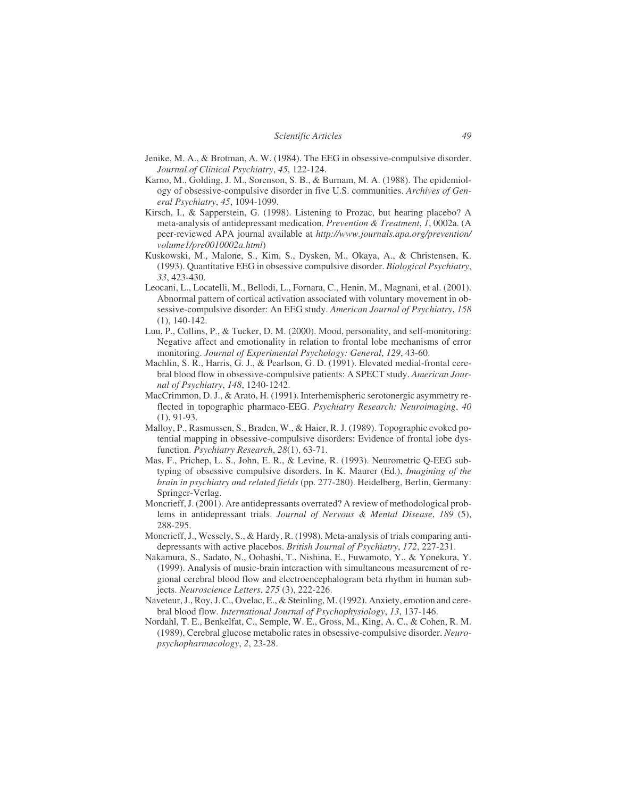- Jenike, M. A., & Brotman, A. W. (1984). The EEG in obsessive-compulsive disorder. *Journal of Clinical Psychiatry*, *45*, 122-124.
- Karno, M., Golding, J. M., Sorenson, S. B., & Burnam, M. A. (1988). The epidemiology of obsessive-compulsive disorder in five U.S. communities. *Archives of General Psychiatry*, *45*, 1094-1099.
- Kirsch, I., & Sapperstein, G. (1998). Listening to Prozac, but hearing placebo? A meta-analysis of antidepressant medication. *Prevention & Treatment*, *1*, 0002a. (A peer-reviewed APA journal available at *<http://www.journals.apa.org/prevention/> volume1/pre0010002a.html*)
- Kuskowski, M., Malone, S., Kim, S., Dysken, M., Okaya, A., & Christensen, K. (1993). Quantitative EEG in obsessive compulsive disorder. *Biological Psychiatry*, *33*, 423-430.
- Leocani, L., Locatelli, M., Bellodi, L., Fornara, C., Henin, M., Magnani, et al. (2001). Abnormal pattern of cortical activation associated with voluntary movement in obsessive-compulsive disorder: An EEG study. *American Journal of Psychiatry*, *158* (1), 140-142.
- Luu, P., Collins, P., & Tucker, D. M. (2000). Mood, personality, and self-monitoring: Negative affect and emotionality in relation to frontal lobe mechanisms of error monitoring. *Journal of Experimental Psychology: General*, *129*, 43-60.
- Machlin, S. R., Harris, G. J., & Pearlson, G. D. (1991). Elevated medial-frontal cerebral blood flow in obsessive-compulsive patients: A SPECT study. *American Journal of Psychiatry*, *148*, 1240-1242.
- MacCrimmon, D. J., & Arato, H. (1991). Interhemispheric serotonergic asymmetry reflected in topographic pharmaco-EEG. *Psychiatry Research: Neuroimaging*, *40* (1), 91-93.
- Malloy, P., Rasmussen, S., Braden, W., & Haier, R. J. (1989). Topographic evoked potential mapping in obsessive-compulsive disorders: Evidence of frontal lobe dysfunction. *Psychiatry Research*, *28*(1), 63-71.
- Mas, F., Prichep, L. S., John, E. R., & Levine, R. (1993). Neurometric Q-EEG subtyping of obsessive compulsive disorders. In K. Maurer (Ed.), *Imagining of the brain in psychiatry and related fields* (pp. 277-280). Heidelberg, Berlin, Germany: Springer-Verlag.
- Moncrieff, J. (2001). Are antidepressants overrated? A review of methodological problems in antidepressant trials. *Journal of Nervous & Mental Disease*, *189* (5), 288-295.
- Moncrieff, J., Wessely, S., & Hardy, R. (1998). Meta-analysis of trials comparing antidepressants with active placebos. *British Journal of Psychiatry*, *172*, 227-231.
- Nakamura, S., Sadato, N., Oohashi, T., Nishina, E., Fuwamoto, Y., & Yonekura, Y. (1999). Analysis of music-brain interaction with simultaneous measurement of regional cerebral blood flow and electroencephalogram beta rhythm in human subjects. *Neuroscience Letters*, *275* (3), 222-226.
- Naveteur, J., Roy, J. C., Ovelac, E., & Steinling, M. (1992). Anxiety, emotion and cerebral blood flow. *International Journal of Psychophysiology*, *13*, 137-146.
- Nordahl, T. E., Benkelfat, C., Semple, W. E., Gross, M., King, A. C., & Cohen, R. M. (1989). Cerebral glucose metabolic rates in obsessive-compulsive disorder. *Neuropsychopharmacology*, *2*, 23-28.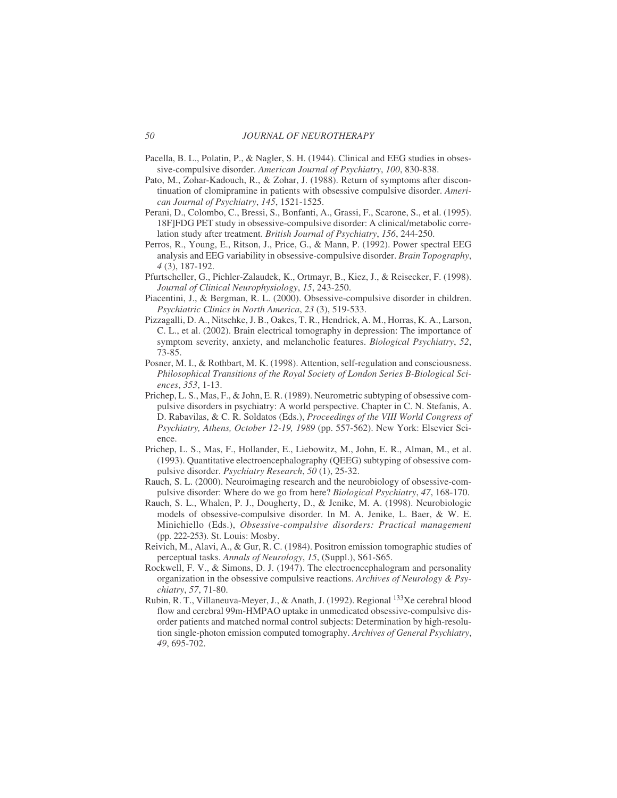- Pacella, B. L., Polatin, P., & Nagler, S. H. (1944). Clinical and EEG studies in obsessive-compulsive disorder. *American Journal of Psychiatry*, *100*, 830-838.
- Pato, M., Zohar-Kadouch, R., & Zohar, J. (1988). Return of symptoms after discontinuation of clomipramine in patients with obsessive compulsive disorder. *American Journal of Psychiatry*, *145*, 1521-1525.
- Perani, D., Colombo, C., Bressi, S., Bonfanti, A., Grassi, F., Scarone, S., et al. (1995). 18F]FDG PET study in obsessive-compulsive disorder: A clinical/metabolic correlation study after treatment. *British Journal of Psychiatry*, *156*, 244-250.
- Perros, R., Young, E., Ritson, J., Price, G., & Mann, P. (1992). Power spectral EEG analysis and EEG variability in obsessive-compulsive disorder. *Brain Topography*, *4* (3), 187-192.
- Pfurtscheller, G., Pichler-Zalaudek, K., Ortmayr, B., Kiez, J., & Reisecker, F. (1998). *Journal of Clinical Neurophysiology*, *15*, 243-250.
- Piacentini, J., & Bergman, R. L. (2000). Obsessive-compulsive disorder in children. *Psychiatric Clinics in North America*, *23* (3), 519-533.
- Pizzagalli, D. A., Nitschke, J. B., Oakes, T. R., Hendrick, A. M., Horras, K. A., Larson, C. L., et al. (2002). Brain electrical tomography in depression: The importance of symptom severity, anxiety, and melancholic features. *Biological Psychiatry*, *52*, 73-85.
- Posner, M. I., & Rothbart, M. K. (1998). Attention, self-regulation and consciousness. *Philosophical Transitions of the Royal Society of London Series B-Biological Sciences*, *353*, 1-13.
- Prichep, L. S., Mas, F., & John, E. R. (1989). Neurometric subtyping of obsessive compulsive disorders in psychiatry: A world perspective. Chapter in C. N. Stefanis, A. D. Rabavilas, & C. R. Soldatos (Eds.), *Proceedings of the VIII World Congress of Psychiatry, Athens, October 12-19, 1989* (pp. 557-562). New York: Elsevier Science.
- Prichep, L. S., Mas, F., Hollander, E., Liebowitz, M., John, E. R., Alman, M., et al. (1993). Quantitative electroencephalography (QEEG) subtyping of obsessive compulsive disorder. *Psychiatry Research*, *50* (1), 25-32.
- Rauch, S. L. (2000). Neuroimaging research and the neurobiology of obsessive-compulsive disorder: Where do we go from here? *Biological Psychiatry*, *47*, 168-170.
- Rauch, S. L., Whalen, P. J., Dougherty, D., & Jenike, M. A. (1998). Neurobiologic models of obsessive-compulsive disorder. In M. A. Jenike, L. Baer, & W. E. Minichiello (Eds.), *Obsessive-compulsive disorders: Practical management* (pp. 222-253). St. Louis: Mosby.
- Reivich, M., Alavi, A., & Gur, R. C. (1984). Positron emission tomographic studies of perceptual tasks. *Annals of Neurology*, *15*, (Suppl.), S61-S65.
- Rockwell, F. V., & Simons, D. J. (1947). The electroencephalogram and personality organization in the obsessive compulsive reactions. *Archives of Neurology & Psychiatry*, *57*, 71-80.
- Rubin, R. T., Villaneuva-Meyer, J., & Anath, J. (1992). Regional 133Xe cerebral blood flow and cerebral 99m-HMPAO uptake in unmedicated obsessive-compulsive disorder patients and matched normal control subjects: Determination by high-resolution single-photon emission computed tomography. *Archives of General Psychiatry*, *49*, 695-702.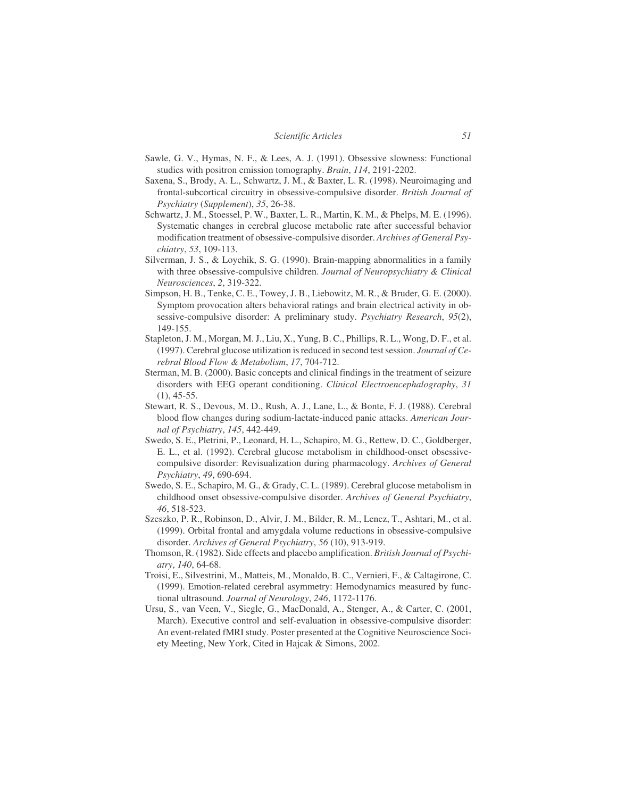- Sawle, G. V., Hymas, N. F., & Lees, A. J. (1991). Obsessive slowness: Functional studies with positron emission tomography. *Brain*, *114*, 2191-2202.
- Saxena, S., Brody, A. L., Schwartz, J. M., & Baxter, L. R. (1998). Neuroimaging and frontal-subcortical circuitry in obsessive-compulsive disorder. *British Journal of Psychiatry* (*Supplement*), *35*, 26-38.
- Schwartz, J. M., Stoessel, P. W., Baxter, L. R., Martin, K. M., & Phelps, M. E. (1996). Systematic changes in cerebral glucose metabolic rate after successful behavior modification treatment of obsessive-compulsive disorder. *Archives of General Psychiatry*, *53*, 109-113.
- Silverman, J. S., & Loychik, S. G. (1990). Brain-mapping abnormalities in a family with three obsessive-compulsive children. *Journal of Neuropsychiatry & Clinical Neurosciences*, *2*, 319-322.
- Simpson, H. B., Tenke, C. E., Towey, J. B., Liebowitz, M. R., & Bruder, G. E. (2000). Symptom provocation alters behavioral ratings and brain electrical activity in obsessive-compulsive disorder: A preliminary study. *Psychiatry Research*, *95*(2), 149-155.
- Stapleton, J. M., Morgan, M. J., Liu, X., Yung, B. C., Phillips, R. L., Wong, D. F., et al. (1997). Cerebral glucose utilization is reduced in second test session. *Journal of Cerebral Blood Flow & Metabolism*, *17*, 704-712.
- Sterman, M. B. (2000). Basic concepts and clinical findings in the treatment of seizure disorders with EEG operant conditioning. *Clinical Electroencephalography*, *31* (1), 45-55.
- Stewart, R. S., Devous, M. D., Rush, A. J., Lane, L., & Bonte, F. J. (1988). Cerebral blood flow changes during sodium-lactate-induced panic attacks. *American Journal of Psychiatry*, *145*, 442-449.
- Swedo, S. E., Pletrini, P., Leonard, H. L., Schapiro, M. G., Rettew, D. C., Goldberger, E. L., et al. (1992). Cerebral glucose metabolism in childhood-onset obsessivecompulsive disorder: Revisualization during pharmacology. *Archives of General Psychiatry*, *49*, 690-694.
- Swedo, S. E., Schapiro, M. G., & Grady, C. L. (1989). Cerebral glucose metabolism in childhood onset obsessive-compulsive disorder. *Archives of General Psychiatry*, *46*, 518-523.
- Szeszko, P. R., Robinson, D., Alvir, J. M., Bilder, R. M., Lencz, T., Ashtari, M., et al. (1999). Orbital frontal and amygdala volume reductions in obsessive-compulsive disorder. *Archives of General Psychiatry*, *56* (10), 913-919.
- Thomson, R. (1982). Side effects and placebo amplification. *British Journal of Psychiatry*, *140*, 64-68.
- Troisi, E., Silvestrini, M., Matteis, M., Monaldo, B. C., Vernieri, F., & Caltagirone, C. (1999). Emotion-related cerebral asymmetry: Hemodynamics measured by functional ultrasound. *Journal of Neurology*, *246*, 1172-1176.
- Ursu, S., van Veen, V., Siegle, G., MacDonald, A., Stenger, A., & Carter, C. (2001, March). Executive control and self-evaluation in obsessive-compulsive disorder: An event-related fMRI study. Poster presented at the Cognitive Neuroscience Society Meeting, New York, Cited in Hajcak & Simons, 2002.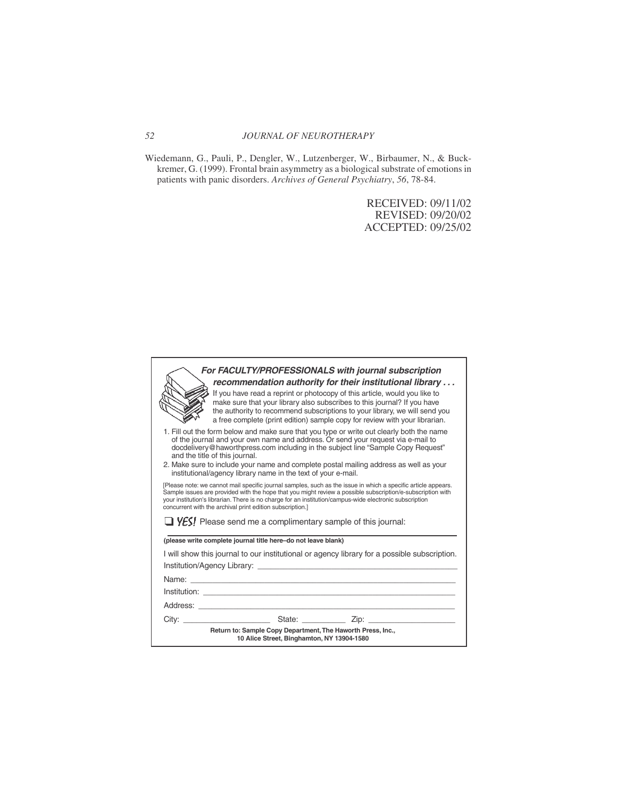Wiedemann, G., Pauli, P., Dengler, W., Lutzenberger, W., Birbaumer, N., & Buckkremer, G. (1999). Frontal brain asymmetry as a biological substrate of emotions in patients with panic disorders. *Archives of General Psychiatry*, *56*, 78-84.

> RECEIVED: 09/11/02 REVISED: 09/20/02 ACCEPTED: 09/25/02

|                                                                                                           |                                                                                                                                                                                                                                            | For FACULTY/PROFESSIONALS with journal subscription<br>recommendation authority for their institutional library<br>If you have read a reprint or photocopy of this article, would you like to<br>make sure that your library also subscribes to this journal? If you have<br>the authority to recommend subscriptions to your library, we will send you<br>a free complete (print edition) sample copy for review with your librarian. |  |
|-----------------------------------------------------------------------------------------------------------|--------------------------------------------------------------------------------------------------------------------------------------------------------------------------------------------------------------------------------------------|----------------------------------------------------------------------------------------------------------------------------------------------------------------------------------------------------------------------------------------------------------------------------------------------------------------------------------------------------------------------------------------------------------------------------------------|--|
|                                                                                                           | and the title of this journal.<br>institutional/agency library name in the text of your e-mail.                                                                                                                                            | 1. Fill out the form below and make sure that you type or write out clearly both the name<br>of the journal and your own name and address. Or send your request via e-mail to<br>docdelivery@haworthpress.com including in the subject line "Sample Copy Request"<br>2. Make sure to include your name and complete postal mailing address as well as your                                                                             |  |
|                                                                                                           | your institution's librarian. There is no charge for an institution/campus-wide electronic subscription<br>concurrent with the archival print edition subscription.]<br>$\Box$ YES! Please send me a complimentary sample of this journal: | [Please note: we cannot mail specific journal samples, such as the issue in which a specific article appears.<br>Sample issues are provided with the hope that you might review a possible subscription/e-subscription with                                                                                                                                                                                                            |  |
|                                                                                                           | (please write complete journal title here-do not leave blank)<br>Institution/Agency Library: Latin and Contract and Contract of the Contract of the Contract of the Contract of                                                            | I will show this journal to our institutional or agency library for a possible subscription.                                                                                                                                                                                                                                                                                                                                           |  |
|                                                                                                           |                                                                                                                                                                                                                                            |                                                                                                                                                                                                                                                                                                                                                                                                                                        |  |
|                                                                                                           |                                                                                                                                                                                                                                            |                                                                                                                                                                                                                                                                                                                                                                                                                                        |  |
|                                                                                                           |                                                                                                                                                                                                                                            |                                                                                                                                                                                                                                                                                                                                                                                                                                        |  |
| Return to: Sample Copy Department, The Haworth Press, Inc.,<br>10 Alice Street, Binghamton, NY 13904-1580 |                                                                                                                                                                                                                                            |                                                                                                                                                                                                                                                                                                                                                                                                                                        |  |